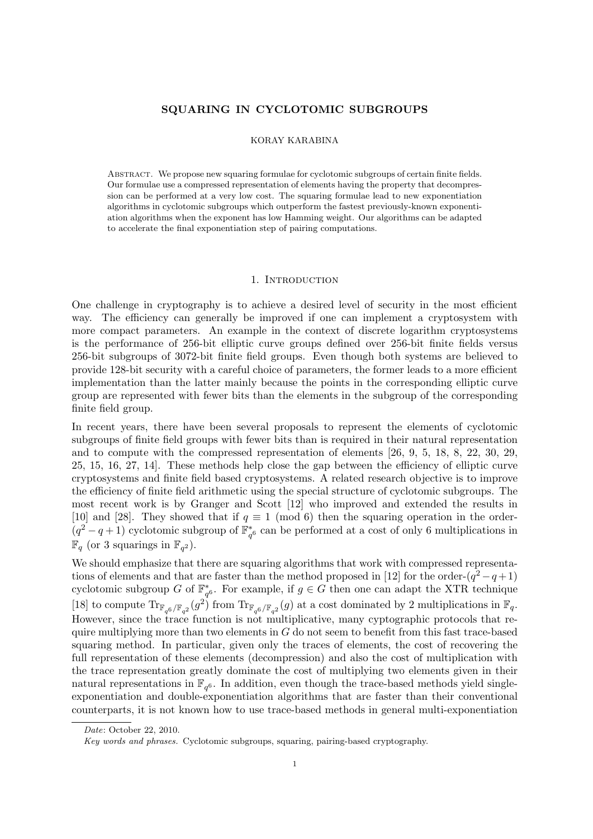### SQUARING IN CYCLOTOMIC SUBGROUPS

#### KORAY KARABINA

Abstract. We propose new squaring formulae for cyclotomic subgroups of certain finite fields. Our formulae use a compressed representation of elements having the property that decompression can be performed at a very low cost. The squaring formulae lead to new exponentiation algorithms in cyclotomic subgroups which outperform the fastest previously-known exponentiation algorithms when the exponent has low Hamming weight. Our algorithms can be adapted to accelerate the final exponentiation step of pairing computations.

#### 1. INTRODUCTION

One challenge in cryptography is to achieve a desired level of security in the most efficient way. The efficiency can generally be improved if one can implement a cryptosystem with more compact parameters. An example in the context of discrete logarithm cryptosystems is the performance of 256-bit elliptic curve groups defined over 256-bit finite fields versus 256-bit subgroups of 3072-bit finite field groups. Even though both systems are believed to provide 128-bit security with a careful choice of parameters, the former leads to a more efficient implementation than the latter mainly because the points in the corresponding elliptic curve group are represented with fewer bits than the elements in the subgroup of the corresponding finite field group.

In recent years, there have been several proposals to represent the elements of cyclotomic subgroups of finite field groups with fewer bits than is required in their natural representation and to compute with the compressed representation of elements [26, 9, 5, 18, 8, 22, 30, 29, 25, 15, 16, 27, 14]. These methods help close the gap between the efficiency of elliptic curve cryptosystems and finite field based cryptosystems. A related research objective is to improve the efficiency of finite field arithmetic using the special structure of cyclotomic subgroups. The most recent work is by Granger and Scott [12] who improved and extended the results in [10] and [28]. They showed that if  $q \equiv 1 \pmod{6}$  then the squaring operation in the order- $(q^2-q+1)$  cyclotomic subgroup of  $\mathbb{F}_{q^6}^*$  can be performed at a cost of only 6 multiplications in  $\mathbb{F}_q$  (or 3 squarings in  $\mathbb{F}_{q^2}$ ).

We should emphasize that there are squaring algorithms that work with compressed representations of elements and that are faster than the method proposed in [12] for the order- $(q^2 - q + 1)$ cyclotomic subgroup G of  $\mathbb{F}_{q^6}^*$ . For example, if  $g \in G$  then one can adapt the XTR technique [18] to compute  $\text{Tr}_{\mathbb{F}_{q^6}/\mathbb{F}_{q^2}}(g^2)$  from  $\text{Tr}_{\mathbb{F}_{q^6}/\mathbb{F}_{q^2}}(g)$  at a cost dominated by 2 multiplications in  $\mathbb{F}_q$ . However, since the trace function is not multiplicative, many cyptographic protocols that require multiplying more than two elements in  $G$  do not seem to benefit from this fast trace-based squaring method. In particular, given only the traces of elements, the cost of recovering the full representation of these elements (decompression) and also the cost of multiplication with the trace representation greatly dominate the cost of multiplying two elements given in their natural representations in  $\mathbb{F}_{q^6}$ . In addition, even though the trace-based methods yield singleexponentiation and double-exponentiation algorithms that are faster than their conventional counterparts, it is not known how to use trace-based methods in general multi-exponentiation

Date: October 22, 2010.

Key words and phrases. Cyclotomic subgroups, squaring, pairing-based cryptography.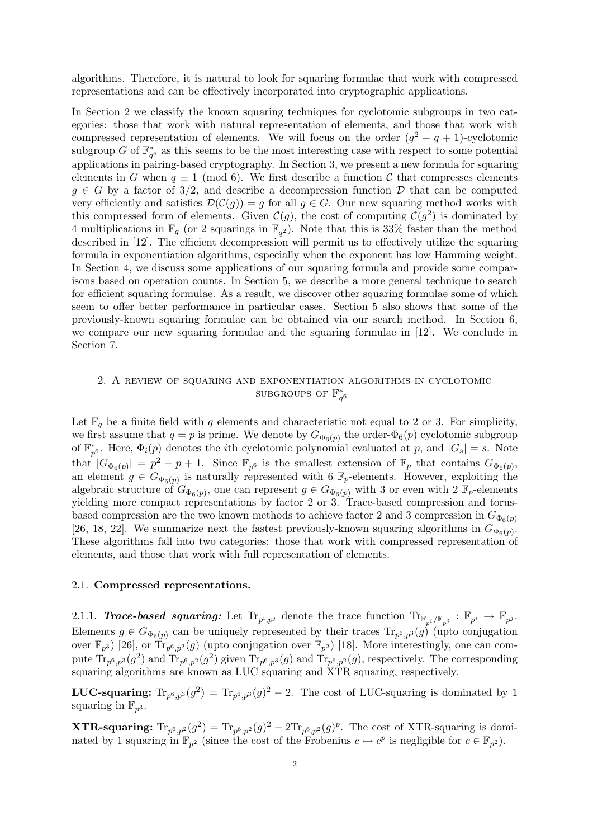algorithms. Therefore, it is natural to look for squaring formulae that work with compressed representations and can be effectively incorporated into cryptographic applications.

In Section 2 we classify the known squaring techniques for cyclotomic subgroups in two categories: those that work with natural representation of elements, and those that work with compressed representation of elements. We will focus on the order  $(q^2 - q + 1)$ -cyclotomic subgroup G of  $\mathbb{F}_{q^6}^*$  as this seems to be the most interesting case with respect to some potential applications in pairing-based cryptography. In Section 3, we present a new formula for squaring elements in G when  $q \equiv 1 \pmod{6}$ . We first describe a function C that compresses elements  $g \in G$  by a factor of 3/2, and describe a decompression function D that can be computed very efficiently and satisfies  $\mathcal{D}(\mathcal{C}(q)) = q$  for all  $q \in G$ . Our new squaring method works with this compressed form of elements. Given  $\mathcal{C}(g)$ , the cost of computing  $\mathcal{C}(g^2)$  is dominated by 4 multiplications in  $\mathbb{F}_q$  (or 2 squarings in  $\mathbb{F}_{q^2}$ ). Note that this is 33% faster than the method described in [12]. The efficient decompression will permit us to effectively utilize the squaring formula in exponentiation algorithms, especially when the exponent has low Hamming weight. In Section 4, we discuss some applications of our squaring formula and provide some comparisons based on operation counts. In Section 5, we describe a more general technique to search for efficient squaring formulae. As a result, we discover other squaring formulae some of which seem to offer better performance in particular cases. Section 5 also shows that some of the previously-known squaring formulae can be obtained via our search method. In Section 6, we compare our new squaring formulae and the squaring formulae in [12]. We conclude in Section 7.

# 2. A review of squaring and exponentiation algorithms in cyclotomic SUBGROUPS OF  $\mathbb{F}_{q^6}^*$

Let  $\mathbb{F}_q$  be a finite field with q elements and characteristic not equal to 2 or 3. For simplicity, we first assume that  $q = p$  is prime. We denote by  $G_{\Phi_6(p)}$  the order- $\Phi_6(p)$  cyclotomic subgroup of  $\mathbb{F}_{p^6}^*$ . Here,  $\Phi_i(p)$  denotes the *i*th cyclotomic polynomial evaluated at p, and  $|G_s| = s$ . Note that  $|G_{\Phi_6(p)}| = p^2 - p + 1$ . Since  $\mathbb{F}_{p^6}$  is the smallest extension of  $\mathbb{F}_p$  that contains  $G_{\Phi_6(p)}$ , an element  $g \in G_{\Phi_6(p)}$  is naturally represented with 6  $\mathbb{F}_p$ -elements. However, exploiting the algebraic structure of  $G_{\Phi_6(p)}$ , one can represent  $g \in G_{\Phi_6(p)}$  with 3 or even with 2  $\mathbb{F}_p$ -elements yielding more compact representations by factor 2 or 3. Trace-based compression and torusbased compression are the two known methods to achieve factor 2 and 3 compression in  $G_{\Phi_6(p)}$ [26, 18, 22]. We summarize next the fastest previously-known squaring algorithms in  $G_{\Phi_6(p)}$ . These algorithms fall into two categories: those that work with compressed representation of elements, and those that work with full representation of elements.

### 2.1. Compressed representations.

2.1.1. **Trace-based squaring:** Let  $\text{Tr}_{p^i,p^j}$  denote the trace function  $\text{Tr}_{\mathbb{F}_{p^i}/\mathbb{F}_{p^j}} : \mathbb{F}_{p^i} \to \mathbb{F}_{p^j}$ . Elements  $g \in G_{\Phi_6(p)}$  can be uniquely represented by their traces  $\text{Tr}_{p^6, p^3}(g)$  (upto conjugation over  $\mathbb{F}_{p^3}$ ) [26], or  $\text{Tr}_{p^6, p^2}(g)$  (upto conjugation over  $\mathbb{F}_{p^2}$ ) [18]. More interestingly, one can compute  $\text{Tr}_{p^6,p^3}(g^2)$  and  $\text{Tr}_{p^6,p^2}(g^2)$  given  $\text{Tr}_{p^6,p^3}(g)$  and  $\text{Tr}_{p^6,p^2}(g)$ , respectively. The corresponding squaring algorithms are known as LUC squaring and XTR squaring, respectively.

**LUC-squaring:**  $\text{Tr}_{p^6, p^3}(g^2) = \text{Tr}_{p^6, p^3}(g)^2 - 2$ . The cost of LUC-squaring is dominated by 1 squaring in  $\mathbb{F}_{p^3}$ .

**XTR-squaring:**  $\text{Tr}_{p^6,p^2}(g^2) = \text{Tr}_{p^6,p^2}(g)^2 - 2\text{Tr}_{p^6,p^2}(g)^p$ . The cost of XTR-squaring is dominated by 1 squaring in  $\mathbb{F}_{p^2}$  (since the cost of the Frobenius  $c \mapsto c^p$  is negligible for  $c \in \mathbb{F}_{p^2}$ ).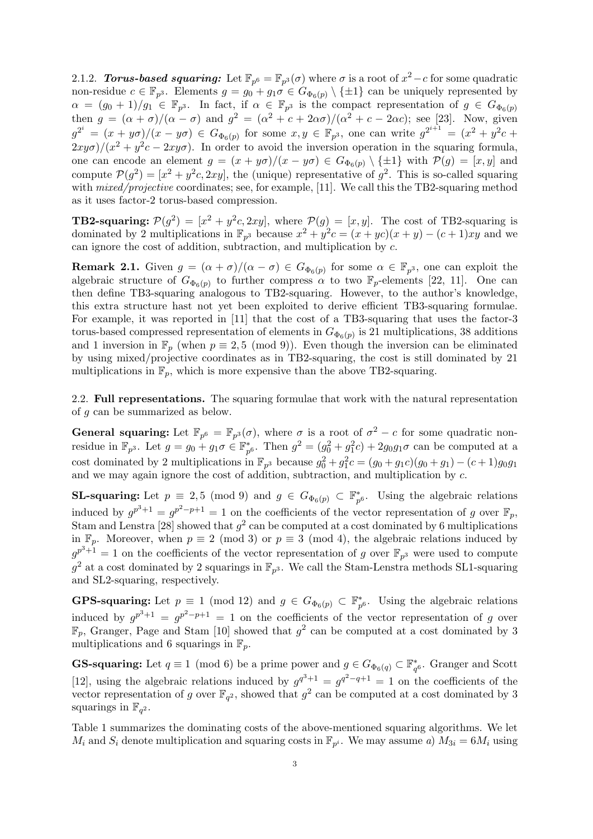2.1.2. Torus-based squaring: Let  $\mathbb{F}_{p^6} = \mathbb{F}_{p^3}(\sigma)$  where  $\sigma$  is a root of  $x^2 - c$  for some quadratic non-residue  $c \in \mathbb{F}_{p^3}$ . Elements  $g = g_0 + g_1 \sigma \in G_{\Phi_6(p)} \setminus \{\pm 1\}$  can be uniquely represented by  $\alpha = (g_0 + 1)/g_1 \in \mathbb{F}_{p^3}$ . In fact, if  $\alpha \in \mathbb{F}_{p^3}$  is the compact representation of  $g \in G_{\Phi_6(p)}$ then  $g = (\alpha + \sigma)/(\alpha - \sigma)$  and  $g^2 = (\alpha^2 + c + 2\alpha\sigma)/(\alpha^2 + c - 2\alpha c)$ ; see [23]. Now, given  $g^{2^i} = (x + y\sigma)/(x - y\sigma) \in G_{\Phi_6(p)}$  for some  $x, y \in \mathbb{F}_{p^3}$ , one can write  $g^{2^{i+1}} = (x^2 + y^2c + y^3)$  $2xy\sigma$ / $(x^2 + y^2c - 2xy\sigma)$ . In order to avoid the inversion operation in the squaring formula, one can encode an element  $g = (x + y\sigma)/(x - y\sigma) \in G_{\Phi_6(p)} \setminus {\pm 1}$  with  $\mathcal{P}(g) = [x, y]$  and compute  $\mathcal{P}(g^2) = [x^2 + y^2c, 2xy]$ , the (unique) representative of  $g^2$ . This is so-called squaring with *mixed/projective* coordinates; see, for example, [11]. We call this the TB2-squaring method as it uses factor-2 torus-based compression.

**TB2-squaring:**  $\mathcal{P}(g^2) = [x^2 + y^2c, 2xy]$ , where  $\mathcal{P}(g) = [x, y]$ . The cost of TB2-squaring is dominated by 2 multiplications in  $\mathbb{F}_{p^3}$  because  $x^2 + y^2c = (x + yc)(x + y) - (c + 1)xy$  and we can ignore the cost of addition, subtraction, and multiplication by c.

**Remark 2.1.** Given  $g = (\alpha + \sigma)/(\alpha - \sigma) \in G_{\Phi_6(p)}$  for some  $\alpha \in \mathbb{F}_{p^3}$ , one can exploit the algebraic structure of  $G_{\Phi_6(p)}$  to further compress  $\alpha$  to two  $\mathbb{F}_p$ -elements [22, 11]. One can then define TB3-squaring analogous to TB2-squaring. However, to the author's knowledge, this extra structure hast not yet been exploited to derive efficient TB3-squaring formulae. For example, it was reported in [11] that the cost of a TB3-squaring that uses the factor-3 torus-based compressed representation of elements in  $G_{\Phi_6(p)}$  is 21 multiplications, 38 additions and 1 inversion in  $\mathbb{F}_p$  (when  $p \equiv 2, 5 \pmod{9}$ ). Even though the inversion can be eliminated by using mixed/projective coordinates as in TB2-squaring, the cost is still dominated by 21 multiplications in  $\mathbb{F}_p$ , which is more expensive than the above TB2-squaring.

2.2. Full representations. The squaring formulae that work with the natural representation of g can be summarized as below.

**General squaring:** Let  $\mathbb{F}_{p^6} = \mathbb{F}_{p^3}(\sigma)$ , where  $\sigma$  is a root of  $\sigma^2 - c$  for some quadratic nonresidue in  $\mathbb{F}_{p^3}$ . Let  $g = g_0 + g_1 \sigma \in \mathbb{F}_{p^6}^*$ . Then  $g^2 = (g_0^2 + g_1^2 c) + 2g_0 g_1 \sigma$  can be computed at a cost dominated by 2 multiplications in  $\mathbb{F}_{p^3}$  because  $g_0^2 + g_1^2 c = (g_0 + g_1 c)(g_0 + g_1) - (c+1)g_0 g_1$ and we may again ignore the cost of addition, subtraction, and multiplication by c.

**SL-squaring:** Let  $p \equiv 2, 5 \pmod{9}$  and  $g \in G_{\Phi_6(p)} \subset \mathbb{F}_{p^6}^*$ . Using the algebraic relations induced by  $g^{p^3+1} = g^{p^2-p+1} = 1$  on the coefficients of the vector representation of g over  $\mathbb{F}_p$ , Stam and Lenstra [28] showed that  $g^2$  can be computed at a cost dominated by 6 multiplications in  $\mathbb{F}_p$ . Moreover, when  $p \equiv 2 \pmod{3}$  or  $p \equiv 3 \pmod{4}$ , the algebraic relations induced by  $g^{p^3+1} = 1$  on the coefficients of the vector representation of g over  $\mathbb{F}_{p^3}$  were used to compute  $g^2$  at a cost dominated by 2 squarings in  $\mathbb{F}_{p^3}$ . We call the Stam-Lenstra methods SL1-squaring and SL2-squaring, respectively.

**GPS-squaring:** Let  $p \equiv 1 \pmod{12}$  and  $g \in G_{\Phi_6(p)} \subset \mathbb{F}_{p^6}^*$ . Using the algebraic relations induced by  $g^{p^3+1} = g^{p^2-p+1} = 1$  on the coefficients of the vector representation of g over  $\mathbb{F}_p$ , Granger, Page and Stam [10] showed that  $g^2$  can be computed at a cost dominated by 3 multiplications and 6 squarings in  $\mathbb{F}_p$ .

**GS-squaring:** Let  $q \equiv 1 \pmod{6}$  be a prime power and  $g \in G_{\Phi_6(q)} \subset \mathbb{F}_{q^6}^*$ . Granger and Scott [12], using the algebraic relations induced by  $g^{q^3+1} = g^{q^2-q+1} = 1$  on the coefficients of the vector representation of g over  $\mathbb{F}_{q^2}$ , showed that  $g^2$  can be computed at a cost dominated by 3 squarings in  $\mathbb{F}_{q^2}$ .

Table 1 summarizes the dominating costs of the above-mentioned squaring algorithms. We let  $M_i$  and  $S_i$  denote multiplication and squaring costs in  $\mathbb{F}_{p^i}$ . We may assume a)  $M_{3i} = 6M_i$  using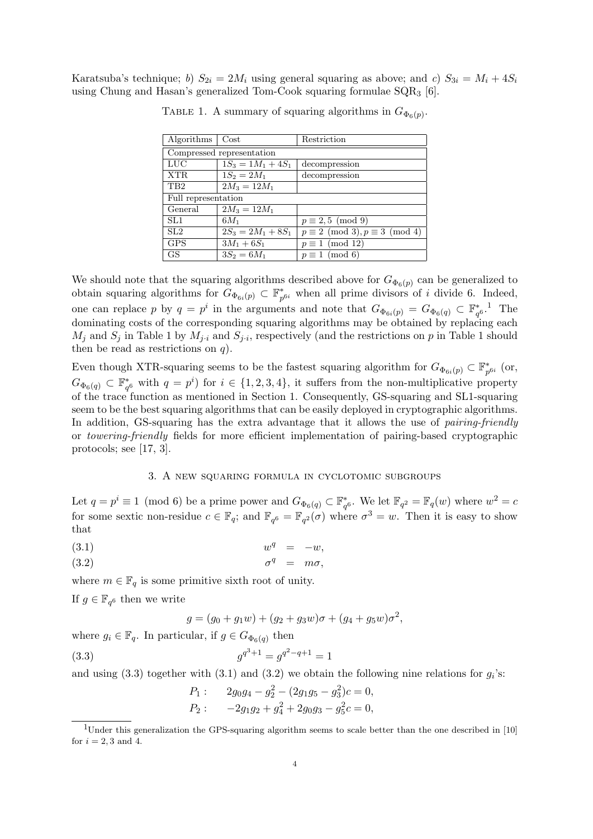Karatsuba's technique; b)  $S_{2i} = 2M_i$  using general squaring as above; and c)  $S_{3i} = M_i + 4S_i$ using Chung and Hasan's generalized Tom-Cook squaring formulae SQR<sup>3</sup> [6].

| Algorithms                | $\cos t$             | Restriction                                |  |
|---------------------------|----------------------|--------------------------------------------|--|
| Compressed representation |                      |                                            |  |
| LUC                       | $1S_3 = 1M_1 + 4S_1$ | decompression                              |  |
| XTR.                      | $1S_2 = 2M_1$        | decompression                              |  |
| T <sub>B</sub> 2          | $2M_3 = 12M_1$       |                                            |  |
| Full representation       |                      |                                            |  |
| General                   | $2M_3 = 12M_1$       |                                            |  |
| SL1                       | $6M_1$               | $p \equiv 2,5 \pmod{9}$                    |  |
| SL <sub>2</sub>           | $2S_3 = 2M_1 + 8S_1$ | $p \equiv 2 \pmod{3}, p \equiv 3 \pmod{4}$ |  |
| <b>GPS</b>                | $3M_1 + 6S_1$        | $p \equiv 1 \pmod{12}$                     |  |
| <b>GS</b>                 | $3S_2 = 6M_1$        | $p \equiv 1 \pmod{6}$                      |  |

TABLE 1. A summary of squaring algorithms in  $G_{\Phi_6(p)}$ .

We should note that the squaring algorithms described above for  $G_{\Phi_6(p)}$  can be generalized to obtain squaring algorithms for  $\tilde{G}_{\Phi_{6i}(p)} \subset \mathbb{F}_p^*$  $_{p^{6i}}^*$  when all prime divisors of *i* divide 6. Indeed, one can replace p by  $q = p^i$  in the arguments and note that  $G_{\Phi_{6i}(p)} = G_{\Phi_{6i}(q)} \subset \mathbb{F}_{q^{6}}^*$ . The dominating costs of the corresponding squaring algorithms may be obtained by replacing each  $M_j$  and  $S_j$  in Table 1 by  $M_{j\cdot i}$  and  $S_{j\cdot i}$ , respectively (and the restrictions on p in Table 1 should then be read as restrictions on  $q$ ).

Even though XTR-squaring seems to be the fastest squaring algorithm for  $G_{\Phi_{6i}(p)} \subset \mathbb{F}_p^*$  $_{p^{6i}}^{\ast}$  (or,  $G_{\Phi_6(q)} \subset \mathbb{F}_{q^6}^*$  with  $q = p^i$  for  $i \in \{1, 2, 3, 4\}$ , it suffers from the non-multiplicative property of the trace function as mentioned in Section 1. Consequently, GS-squaring and SL1-squaring seem to be the best squaring algorithms that can be easily deployed in cryptographic algorithms. In addition, GS-squaring has the extra advantage that it allows the use of *pairing-friendly* or towering-friendly fields for more efficient implementation of pairing-based cryptographic protocols; see [17, 3].

### 3. A new squaring formula in cyclotomic subgroups

Let  $q = p^i \equiv 1 \pmod{6}$  be a prime power and  $G_{\Phi_6(q)} \subset \mathbb{F}_{q^6}^*$ . We let  $\mathbb{F}_{q^2} = \mathbb{F}_q(w)$  where  $w^2 = c$ for some sextic non-residue  $c \in \mathbb{F}_q$ ; and  $\mathbb{F}_{q^6} = \mathbb{F}_{q^2}(\sigma)$  where  $\sigma^3 = w$ . Then it is easy to show that

$$
(3.1) \t\t w^q = -w,
$$

$$
\sigma^q = m\sigma,
$$

where  $m \in \mathbb{F}_q$  is some primitive sixth root of unity.

If  $g \in \mathbb{F}_{q^6}$  then we write

$$
g = (g_0 + g_1 w) + (g_2 + g_3 w)\sigma + (g_4 + g_5 w)\sigma^2,
$$

where  $g_i \in \mathbb{F}_q$ . In particular, if  $g \in G_{\Phi_6(q)}$  then

(3.3) 
$$
g^{q^3+1} = g^{q^2-q+1} = 1
$$

and using (3.3) together with (3.1) and (3.2) we obtain the following nine relations for  $g_i$ 's:

$$
P_1: \t 2g_0g_4 - g_2^2 - (2g_1g_5 - g_3^2)c = 0,
$$
  

$$
P_2: \t -2g_1g_2 + g_4^2 + 2g_0g_3 - g_5^2c = 0,
$$

<sup>&</sup>lt;sup>1</sup>Under this generalization the GPS-squaring algorithm seems to scale better than the one described in [10] for  $i = 2, 3$  and 4.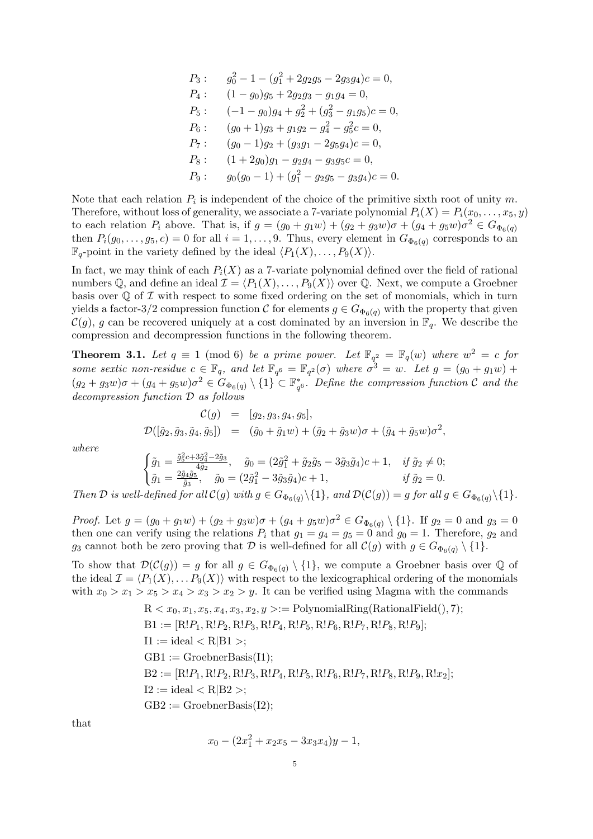$$
P_3: \t g_0^2 - 1 - (g_1^2 + 2g_2g_5 - 2g_3g_4)c = 0,
$$
  
\n
$$
P_4: \t (1 - g_0)g_5 + 2g_2g_3 - g_1g_4 = 0,
$$
  
\n
$$
P_5: \t (-1 - g_0)g_4 + g_2^2 + (g_3^2 - g_1g_5)c = 0,
$$
  
\n
$$
P_6: \t (g_0 + 1)g_3 + g_1g_2 - g_4^2 - g_5^2c = 0,
$$
  
\n
$$
P_7: \t (g_0 - 1)g_2 + (g_3g_1 - 2g_5g_4)c = 0,
$$
  
\n
$$
P_8: \t (1 + 2g_0)g_1 - g_2g_4 - g_3g_5c = 0,
$$
  
\n
$$
P_9: \t g_0(g_0 - 1) + (g_1^2 - g_2g_5 - g_3g_4)c = 0.
$$

Note that each relation  $P_i$  is independent of the choice of the primitive sixth root of unity m. Therefore, without loss of generality, we associate a 7-variate polynomial  $P_i(X) = P_i(x_0, \ldots, x_5, y)$ to each relation  $P_i$  above. That is, if  $g = (g_0 + g_1w) + (g_2 + g_3w)\sigma + (g_4 + g_5w)\sigma^2 \in G_{\Phi_6(q)}$ then  $P_i(g_0, \ldots, g_5, c) = 0$  for all  $i = 1, \ldots, 9$ . Thus, every element in  $G_{\Phi_6(q)}$  corresponds to an  $\mathbb{F}_q$ -point in the variety defined by the ideal  $\langle P_1(X), \ldots, P_9(X)\rangle$ .

In fact, we may think of each  $P_i(X)$  as a 7-variate polynomial defined over the field of rational numbers Q, and define an ideal  $\mathcal{I} = \langle P_1(X), \ldots, P_9(X) \rangle$  over Q. Next, we compute a Groebner basis over  $\mathbb Q$  of  $\mathcal I$  with respect to some fixed ordering on the set of monomials, which in turn yields a factor-3/2 compression function C for elements  $g \in G_{\Phi_6(q)}$  with the property that given  $\mathcal{C}(g)$ , g can be recovered uniquely at a cost dominated by an inversion in  $\mathbb{F}_q$ . We describe the compression and decompression functions in the following theorem.

**Theorem 3.1.** Let  $q \equiv 1 \pmod{6}$  be a prime power. Let  $\mathbb{F}_{q^2} = \mathbb{F}_q(w)$  where  $w^2 = c$  for some sextic non-residue  $c \in \mathbb{F}_q$ , and let  $\mathbb{F}_{q^6} = \mathbb{F}_{q^2}(\sigma)$  where  $\sigma^3 = w$ . Let  $g = (g_0 + g_1w) +$  $(g_2+g_3w)\sigma+(g_4+g_5w)\sigma^2\in G_{\Phi_6(q)}\setminus\{1\}\subset \mathbb{F}_{q^6}^*$ . Define the compression function  $\mathcal C$  and the decompression function D as follows

$$
\mathcal{C}(g) = [g_2, g_3, g_4, g_5], \n\mathcal{D}([\tilde{g}_2, \tilde{g}_3, \tilde{g}_4, \tilde{g}_5]) = (\tilde{g}_0 + \tilde{g}_1 w) + (\tilde{g}_2 + \tilde{g}_3 w) \sigma + (\tilde{g}_4 + \tilde{g}_5 w) \sigma^2,
$$

where

$$
\begin{cases}\n\tilde{g}_1 = \frac{\tilde{g}_5^2 c + 3\tilde{g}_4^2 - 2\tilde{g}_3}{4\tilde{g}_2}, & \tilde{g}_0 = (2\tilde{g}_1^2 + \tilde{g}_2\tilde{g}_5 - 3\tilde{g}_3\tilde{g}_4)c + 1, & \text{if } \tilde{g}_2 \neq 0; \\
\tilde{g}_1 = \frac{2\tilde{g}_4\tilde{g}_5}{\tilde{g}_3}, & \tilde{g}_0 = (2\tilde{g}_1^2 - 3\tilde{g}_3\tilde{g}_4)c + 1, & \text{if } \tilde{g}_2 = 0. \\
\end{cases}
$$

Then D is well-defined for all  $\mathcal{C}(g)$  with  $g \in G_{\Phi_6(q)} \setminus \{1\}$ , and  $\mathcal{D}(\mathcal{C}(g)) = g$  for all  $g \in G_{\Phi_6(q)} \setminus \{1\}$ .

*Proof.* Let  $g = (g_0 + g_1w) + (g_2 + g_3w)\sigma + (g_4 + g_5w)\sigma^2 \in G_{\Phi_6(q)} \setminus \{1\}$ . If  $g_2 = 0$  and  $g_3 = 0$ then one can verify using the relations  $P_i$  that  $g_1 = g_4 = g_5 = 0$  and  $g_0 = 1$ . Therefore,  $g_2$  and  $g_3$  cannot both be zero proving that  $\mathcal D$  is well-defined for all  $\mathcal C(g)$  with  $g \in G_{\Phi_6(q)} \setminus \{1\}.$ 

To show that  $\mathcal{D}(\mathcal{C}(g)) = g$  for all  $g \in G_{\Phi_6(q)} \setminus \{1\}$ , we compute a Groebner basis over Q of the ideal  $\mathcal{I} = \langle P_1(X), \ldots P_9(X) \rangle$  with respect to the lexicographical ordering of the monomials with  $x_0 > x_1 > x_5 > x_4 > x_3 > x_2 > y$ . It can be verified using Magma with the commands

$$
R < x_0, x_1, x_5, x_4, x_3, x_2, y > := \text{PolynomialRing(RationalField(), 7)};
$$
\n $B1 := [R!P_1, R!P_2, R!P_3, R!P_4, R!P_5, R!P_6, R!P_7, R!P_8, R!P_9];$ \n $I1 := \text{ideal} < R|B1 >;$ \n $GB1 := \text{GroebnerBasis}(I1);$ \n $B2 := [R!P_1, R!P_2, R!P_3, R!P_4, R!P_5, R!P_6, R!P_7, R!P_8, R!P_9, R!x_2];$ \n $I2 := \text{ideal} < R|B2 >;$ \n $GB2 := \text{GroebnerBasis}(I2);$ 

that

$$
x_0 - (2x_1^2 + x_2x_5 - 3x_3x_4)y - 1,
$$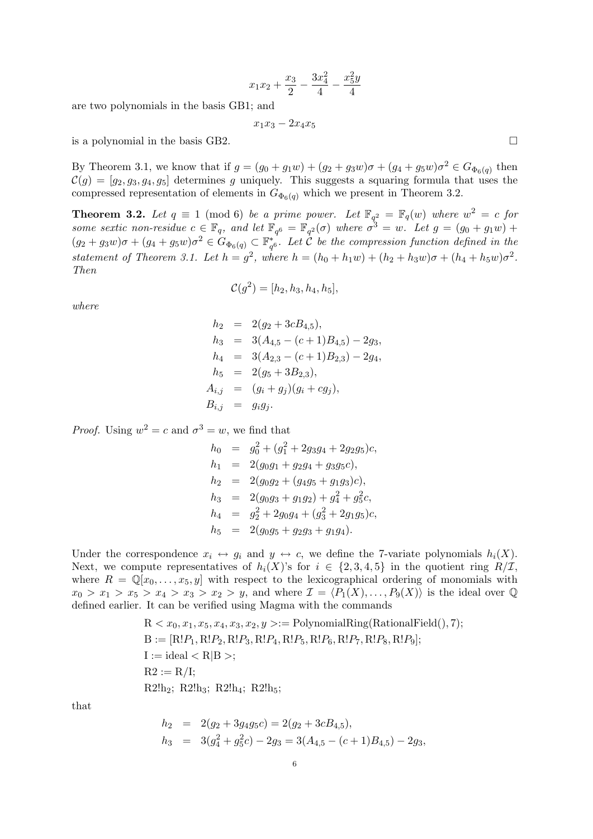$$
x_1x_2 + \frac{x_3}{2} - \frac{3x_4^2}{4} - \frac{x_5^2y}{4}
$$

are two polynomials in the basis GB1; and

$$
x_1x_3 - 2x_4x_5
$$

is a polynomial in the basis GB2.  $\Box$ 

By Theorem 3.1, we know that if  $g = (g_0 + g_1w) + (g_2 + g_3w)\sigma + (g_4 + g_5w)\sigma^2 \in G_{\Phi_6(q)}$  then  $\mathcal{C}(g) = [g_2, g_3, g_4, g_5]$  determines g uniquely. This suggests a squaring formula that uses the compressed representation of elements in  $G_{\Phi_6(q)}$  which we present in Theorem 3.2.

**Theorem 3.2.** Let  $q \equiv 1 \pmod{6}$  be a prime power. Let  $\mathbb{F}_{q^2} = \mathbb{F}_q(w)$  where  $w^2 = c$  for some sextic non-residue  $c \in \mathbb{F}_q$ , and let  $\mathbb{F}_{q^6} = \mathbb{F}_{q^2}(\sigma)$  where  $\sigma^3 = w$ . Let  $g = (g_0 + g_1w) +$  $(g_2+g_3w)\sigma+(g_4+g_5w)\sigma^2\in G_{\Phi_6(q)}\subset \mathbb{F}_{q^6}^*$ . Let  $\mathcal{C}$  be the compression function defined in the statement of Theorem 3.1. Let  $h = g^2$ , where  $h = (h_0 + h_1w) + (h_2 + h_3w)\sigma + (h_4 + h_5w)\sigma^2$ . Then

$$
\mathcal{C}(g^2) = [h_2, h_3, h_4, h_5],
$$

where

$$
h_2 = 2(g_2 + 3cB_{4,5}),
$$
  
\n
$$
h_3 = 3(A_{4,5} - (c+1)B_{4,5}) - 2g_3,
$$
  
\n
$$
h_4 = 3(A_{2,3} - (c+1)B_{2,3}) - 2g_4,
$$
  
\n
$$
h_5 = 2(g_5 + 3B_{2,3}),
$$
  
\n
$$
A_{i,j} = (g_i + g_j)(g_i + cg_j),
$$
  
\n
$$
B_{i,j} = g_i g_j.
$$

*Proof.* Using  $w^2 = c$  and  $\sigma^3 = w$ , we find that

$$
h_0 = g_0^2 + (g_1^2 + 2g_3g_4 + 2g_2g_5)c,
$$
  
\n
$$
h_1 = 2(g_0g_1 + g_2g_4 + g_3g_5c),
$$
  
\n
$$
h_2 = 2(g_0g_2 + (g_4g_5 + g_1g_3)c),
$$
  
\n
$$
h_3 = 2(g_0g_3 + g_1g_2) + g_4^2 + g_5^2c,
$$
  
\n
$$
h_4 = g_2^2 + 2g_0g_4 + (g_3^2 + 2g_1g_5)c,
$$
  
\n
$$
h_5 = 2(g_0g_5 + g_2g_3 + g_1g_4).
$$

Under the correspondence  $x_i \leftrightarrow g_i$  and  $y \leftrightarrow c$ , we define the 7-variate polynomials  $h_i(X)$ . Next, we compute representatives of  $h_i(X)$ 's for  $i \in \{2,3,4,5\}$  in the quotient ring  $R/\mathcal{I}$ , where  $R = \mathbb{Q}[x_0, \ldots, x_5, y]$  with respect to the lexicographical ordering of monomials with  $x_0 > x_1 > x_5 > x_4 > x_3 > x_2 > y$ , and where  $\mathcal{I} = \langle P_1(X), \ldots, P_9(X) \rangle$  is the ideal over Q defined earlier. It can be verified using Magma with the commands

$$
R < x_0, x_1, x_5, x_4, x_3, x_2, y > := \text{PolynomialRing(RationalField(), 7)};
$$
\n $B := [R!P_1, R!P_2, R!P_3, R!P_4, R!P_5, R!P_6, R!P_7, R!P_8, R!P_9];$ \n $I := \text{ideal} < R|B >;$ \n $R2 := R/I;$ \n $R2!h_2; R2!h_3; R2!h_4; R2!h_5;$ 

that

$$
h_2 = 2(g_2 + 3g_4g_5c) = 2(g_2 + 3cB_{4,5}),
$$
  
\n
$$
h_3 = 3(g_4^2 + g_5^2c) - 2g_3 = 3(A_{4,5} - (c+1)B_{4,5}) - 2g_3,
$$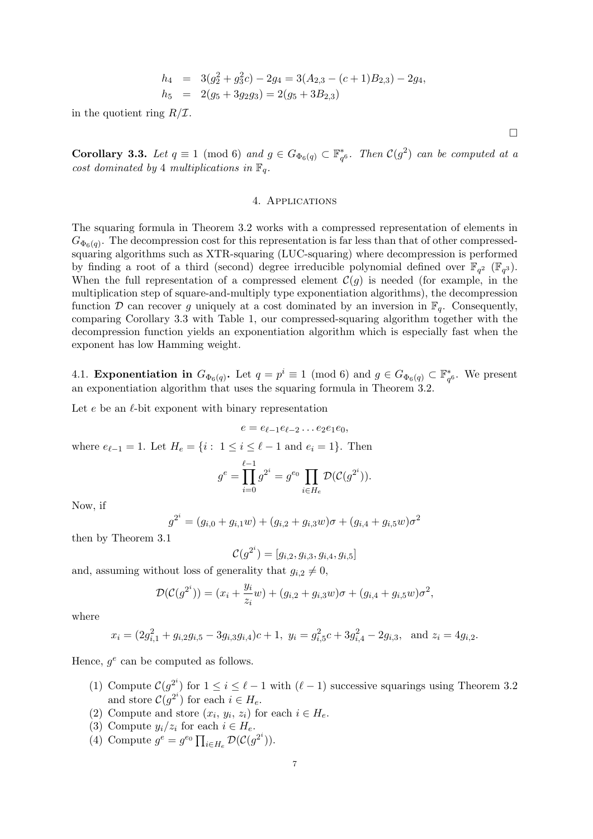$$
h_4 = 3(g_2^2 + g_3^2c) - 2g_4 = 3(A_{2,3} - (c+1)B_{2,3}) - 2g_4,
$$
  
\n
$$
h_5 = 2(g_5 + 3g_2g_3) = 2(g_5 + 3B_{2,3})
$$

in the quotient ring  $R/\mathcal{I}$ .

Corollary 3.3. Let  $q \equiv 1 \pmod{6}$  and  $g \in G_{\Phi_6(q)} \subset \mathbb{F}_{q^6}^*$ . Then  $\mathcal{C}(g^2)$  can be computed at a cost dominated by 4 multiplications in  $\mathbb{F}_q$ .

### 4. Applications

The squaring formula in Theorem 3.2 works with a compressed representation of elements in  $G_{\Phi_6(q)}$ . The decompression cost for this representation is far less than that of other compressedsquaring algorithms such as XTR-squaring (LUC-squaring) where decompression is performed by finding a root of a third (second) degree irreducible polynomial defined over  $\mathbb{F}_{q^2}$  ( $\mathbb{F}_{q^3}$ ). When the full representation of a compressed element  $\mathcal{C}(g)$  is needed (for example, in the multiplication step of square-and-multiply type exponentiation algorithms), the decompression function D can recover g uniquely at a cost dominated by an inversion in  $\mathbb{F}_q$ . Consequently, comparing Corollary 3.3 with Table 1, our compressed-squaring algorithm together with the decompression function yields an exponentiation algorithm which is especially fast when the exponent has low Hamming weight.

4.1. **Exponentiation in**  $G_{\Phi_6(q)}$ . Let  $q = p^i \equiv 1 \pmod{6}$  and  $g \in G_{\Phi_6(q)} \subset \mathbb{F}_{q^6}^*$ . We present an exponentiation algorithm that uses the squaring formula in Theorem 3.2.

Let  $e$  be an  $\ell$ -bit exponent with binary representation

$$
e=e_{\ell-1}e_{\ell-2}\ldots e_2e_1e_0,
$$

where  $e_{\ell-1} = 1$ . Let  $H_e = \{i : 1 \le i \le \ell - 1 \text{ and } e_i = 1\}$ . Then

$$
g^{e} = \prod_{i=0}^{\ell-1} g^{2^{i}} = g^{e_0} \prod_{i \in H_e} \mathcal{D}(\mathcal{C}(g^{2^{i}})).
$$

Now, if

$$
g^{2^i} = (g_{i,0} + g_{i,1}w) + (g_{i,2} + g_{i,3}w)\sigma + (g_{i,4} + g_{i,5}w)\sigma^2
$$

then by Theorem 3.1

$$
\mathcal{C}(g^{2^i}) = [g_{i,2}, g_{i,3}, g_{i,4}, g_{i,5}]
$$

and, assuming without loss of generality that  $g_{i,2} \neq 0$ ,

$$
\mathcal{D}(\mathcal{C}(g^{2^i})) = (x_i + \frac{y_i}{z_i}w) + (g_{i,2} + g_{i,3}w)\sigma + (g_{i,4} + g_{i,5}w)\sigma^2,
$$

where

$$
x_i = (2g_{i,1}^2 + g_{i,2}g_{i,5} - 3g_{i,3}g_{i,4})c + 1
$$
,  $y_i = g_{i,5}^2c + 3g_{i,4}^2 - 2g_{i,3}$ , and  $z_i = 4g_{i,2}$ .

Hence,  $g^e$  can be computed as follows.

- (1) Compute  $\mathcal{C}(g^{2^i})$  for  $1 \leq i \leq \ell 1$  with  $(\ell 1)$  successive squarings using Theorem 3.2 and store  $C(g^{2^i})$  for each  $i \in H_e$ .
- (2) Compute and store  $(x_i, y_i, z_i)$  for each  $i \in H_e$ .
- (3) Compute  $y_i/z_i$  for each  $i \in H_e$ .
- (4) Compute  $g^e = g^{e_0} \prod_{i \in H_e} \mathcal{D}(\mathcal{C}(g^{2^i}))$ .

 $\Box$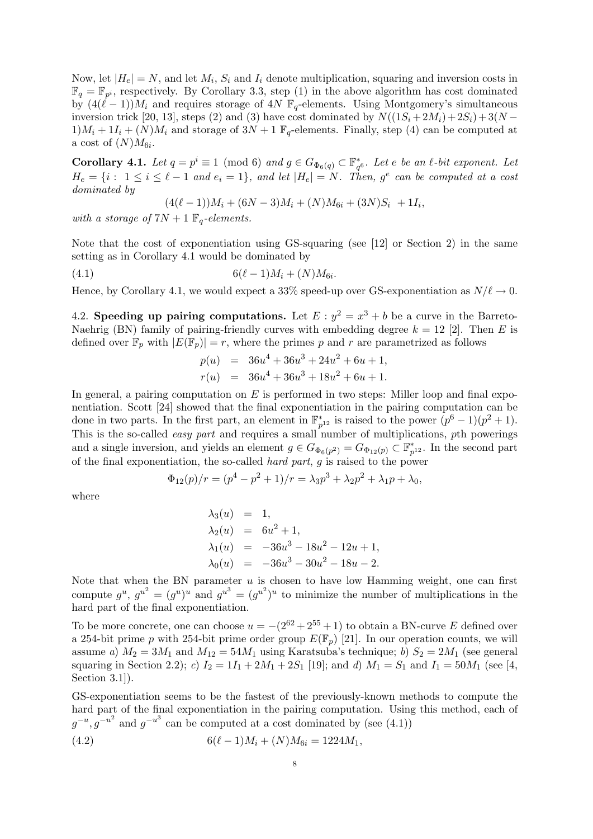Now, let  $|H_e| = N$ , and let  $M_i$ ,  $S_i$  and  $I_i$  denote multiplication, squaring and inversion costs in  $\mathbb{F}_q = \mathbb{F}_{p^i}$ , respectively. By Corollary 3.3, step (1) in the above algorithm has cost dominated by  $(4(\ell-1))M_i$  and requires storage of  $4N \mathbb{F}_q$ -elements. Using Montgomery's simultaneous inversion trick [20, 13], steps (2) and (3) have cost dominated by  $N((1S_i+2M_i)+2S_i)+3(N 1/M_i + 1I_i + (N)M_i$  and storage of  $3N + 1 \mathbb{F}_q$ -elements. Finally, step (4) can be computed at a cost of  $(N)M_{6i}$ .

**Corollary 4.1.** Let  $q = p^i \equiv 1 \pmod{6}$  and  $g \in G_{\Phi_6(q)} \subset \mathbb{F}_{q^6}^*$ . Let e be an  $\ell$ -bit exponent. Let  $H_e = \{i : 1 \le i \le \ell - 1 \text{ and } e_i = 1\}, \text{ and let } |H_e| = N.$  Then,  $g^e$  can be computed at a cost dominated by

$$
(4(\ell-1))M_i + (6N-3)M_i + (N)M_{6i} + (3N)S_i + 1I_i,
$$

with a storage of  $7N + 1 \mathbb{F}_q$ -elements.

Note that the cost of exponentiation using GS-squaring (see [12] or Section 2) in the same setting as in Corollary 4.1 would be dominated by

$$
(4.1) \t\t 6(\ell-1)M_i + (N)M_{6i}.
$$

Hence, by Corollary 4.1, we would expect a 33% speed-up over GS-exponentiation as  $N/\ell \to 0$ .

4.2. Speeding up pairing computations. Let  $E : y^2 = x^3 + b$  be a curve in the Barreto-Naehrig (BN) family of pairing-friendly curves with embedding degree  $k = 12$  [2]. Then E is defined over  $\mathbb{F}_p$  with  $|E(\mathbb{F}_p)| = r$ , where the primes p and r are parametrized as follows

$$
p(u) = 36u4 + 36u3 + 24u2 + 6u + 1,
$$
  
\n
$$
r(u) = 36u4 + 36u3 + 18u2 + 6u + 1.
$$

In general, a pairing computation on  $E$  is performed in two steps: Miller loop and final exponentiation. Scott [24] showed that the final exponentiation in the pairing computation can be done in two parts. In the first part, an element in  $\mathbb{F}_{p^{12}}^*$  is raised to the power  $(p^6-1)(p^2+1)$ . This is the so-called *easy part* and requires a small number of multiplications, pth powerings and a single inversion, and yields an element  $g \in G_{\Phi_6(p^2)} = G_{\Phi_{12}(p)} \subset \mathbb{F}_{p^{12}}^*$ . In the second part of the final exponentiation, the so-called hard part, g is raised to the power

$$
\Phi_{12}(p)/r = (p^4 - p^2 + 1)/r = \lambda_3 p^3 + \lambda_2 p^2 + \lambda_1 p + \lambda_0,
$$

where

$$
\lambda_3(u) = 1,\n\lambda_2(u) = 6u^2 + 1,\n\lambda_1(u) = -36u^3 - 18u^2 - 12u + 1,\n\lambda_0(u) = -36u^3 - 30u^2 - 18u - 2.
$$

Note that when the BN parameter  $u$  is chosen to have low Hamming weight, one can first compute  $g^u$ ,  $g^{u^2} = (g^u)^u$  and  $g^{u^3} = (g^{u^2})^u$  to minimize the number of multiplications in the hard part of the final exponentiation.

To be more concrete, one can choose  $u = -(2^{62} + 2^{55} + 1)$  to obtain a BN-curve E defined over a 254-bit prime p with 254-bit prime order group  $E(\mathbb{F}_n)$  [21]. In our operation counts, we will assume a)  $M_2 = 3M_1$  and  $M_{12} = 54M_1$  using Karatsuba's technique; b)  $S_2 = 2M_1$  (see general squaring in Section 2.2); c)  $I_2 = 1I_1 + 2M_1 + 2S_1$  [19]; and d)  $M_1 = S_1$  and  $I_1 = 50M_1$  (see [4, Section 3.1.

GS-exponentiation seems to be the fastest of the previously-known methods to compute the hard part of the final exponentiation in the pairing computation. Using this method, each of  $g^{-u}, g^{-u^2}$  and  $g^{-u^3}$  can be computed at a cost dominated by (see (4.1))

(4.2) 
$$
6(\ell-1)M_i + (N)M_{6i} = 1224M_1,
$$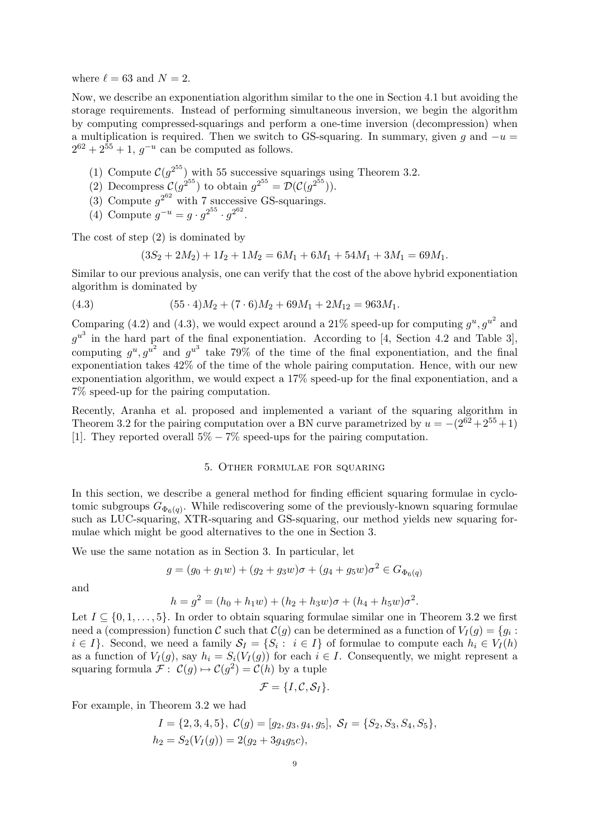where  $\ell = 63$  and  $N = 2$ .

Now, we describe an exponentiation algorithm similar to the one in Section 4.1 but avoiding the storage requirements. Instead of performing simultaneous inversion, we begin the algorithm by computing compressed-squarings and perform a one-time inversion (decompression) when a multiplication is required. Then we switch to GS-squaring. In summary, given g and  $-u =$  $2^{62} + 2^{55} + 1$ ,  $g^{-u}$  can be computed as follows.

- (1) Compute  $C(g^{2^{55}})$  with 55 successive squarings using Theorem 3.2.
- (2) Decompress  $C(g^{2^{55}})$  to obtain  $g^{2^{55}} = \mathcal{D}(\mathcal{C}(g^{2^{55}}))$ .
- (3) Compute  $g^{2^{62}}$  with 7 successive GS-squarings.
- (4) Compute  $g^{-u} = g \cdot g^{2^{55}} \cdot g^{2^{62}}$ .

The cost of step (2) is dominated by

$$
(3S2+2M2)+1I2+1M2=6M1+6M1+54M1+3M1=69M1.
$$

Similar to our previous analysis, one can verify that the cost of the above hybrid exponentiation algorithm is dominated by

(4.3) 
$$
(55 \cdot 4)M_2 + (7 \cdot 6)M_2 + 69M_1 + 2M_{12} = 963M_1.
$$

Comparing (4.2) and (4.3), we would expect around a 21% speed-up for computing  $g^u, g^{u^2}$  and  $g^{u^3}$  in the hard part of the final exponentiation. According to [4, Section 4.2 and Table 3], computing  $g^u, g^{u^2}$  and  $g^{u^3}$  take 79% of the time of the final exponentiation, and the final exponentiation takes 42% of the time of the whole pairing computation. Hence, with our new exponentiation algorithm, we would expect a 17% speed-up for the final exponentiation, and a 7% speed-up for the pairing computation.

Recently, Aranha et al. proposed and implemented a variant of the squaring algorithm in Theorem 3.2 for the pairing computation over a BN curve parametrized by  $u = -(2^{62} + 2^{55} + 1)$ [1]. They reported overall  $5\% - 7\%$  speed-ups for the pairing computation.

### 5. Other formulae for squaring

In this section, we describe a general method for finding efficient squaring formulae in cyclotomic subgroups  $G_{\Phi_6(q)}$ . While rediscovering some of the previously-known squaring formulae such as LUC-squaring, XTR-squaring and GS-squaring, our method yields new squaring formulae which might be good alternatives to the one in Section 3.

We use the same notation as in Section 3. In particular, let

$$
g = (g_0 + g_1 w) + (g_2 + g_3 w)\sigma + (g_4 + g_5 w)\sigma^2 \in G_{\Phi_6(q)}
$$

and

$$
h = g2 = (h0 + h1w) + (h2 + h3w)\sigma + (h4 + h5w)\sigma2.
$$

Let  $I \subseteq \{0, 1, \ldots, 5\}$ . In order to obtain squaring formulae similar one in Theorem 3.2 we first need a (compression) function C such that  $\mathcal{C}(g)$  can be determined as a function of  $V_I(g) = \{g_i :$  $i \in I$ . Second, we need a family  $S_I = \{S_i : i \in I\}$  of formulae to compute each  $h_i \in V_I(h)$ as a function of  $V_I(g)$ , say  $h_i = S_i(V_I(g))$  for each  $i \in I$ . Consequently, we might represent a squaring formula  $\mathcal{F}: \mathcal{C}(g) \mapsto \mathcal{C}(g^2) = \mathcal{C}(h)$  by a tuple

$$
\mathcal{F} = \{I, \mathcal{C}, \mathcal{S}_I\}.
$$

For example, in Theorem 3.2 we had

$$
I = \{2, 3, 4, 5\}, C(g) = [g_2, g_3, g_4, g_5], S_I = \{S_2, S_3, S_4, S_5\},
$$
  

$$
h_2 = S_2(V_I(g)) = 2(g_2 + 3g_4g_5c),
$$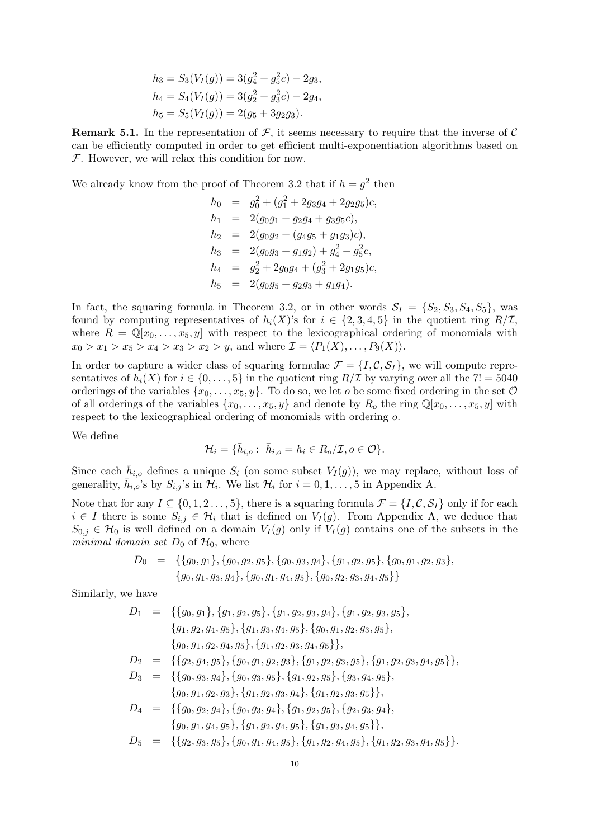$$
h_3 = S_3(V_I(g)) = 3(g_4^2 + g_5^2c) - 2g_3,
$$
  
\n
$$
h_4 = S_4(V_I(g)) = 3(g_2^2 + g_3^2c) - 2g_4,
$$
  
\n
$$
h_5 = S_5(V_I(g)) = 2(g_5 + 3g_2g_3).
$$

**Remark 5.1.** In the representation of  $\mathcal{F}$ , it seems necessary to require that the inverse of  $\mathcal{C}$ can be efficiently computed in order to get efficient multi-exponentiation algorithms based on  $F$ . However, we will relax this condition for now.

We already know from the proof of Theorem 3.2 that if  $h = g^2$  then

$$
h_0 = g_0^2 + (g_1^2 + 2g_3g_4 + 2g_2g_5)c,
$$
  
\n
$$
h_1 = 2(g_0g_1 + g_2g_4 + g_3g_5c),
$$
  
\n
$$
h_2 = 2(g_0g_2 + (g_4g_5 + g_1g_3)c),
$$
  
\n
$$
h_3 = 2(g_0g_3 + g_1g_2) + g_4^2 + g_5^2c,
$$
  
\n
$$
h_4 = g_2^2 + 2g_0g_4 + (g_3^2 + 2g_1g_5)c,
$$
  
\n
$$
h_5 = 2(g_0g_5 + g_2g_3 + g_1g_4).
$$

In fact, the squaring formula in Theorem 3.2, or in other words  $S_I = \{S_2, S_3, S_4, S_5\}$ , was found by computing representatives of  $h_i(X)$ 's for  $i \in \{2,3,4,5\}$  in the quotient ring  $R/\mathcal{I}$ , where  $R = \mathbb{Q}[x_0, \ldots, x_5, y]$  with respect to the lexicographical ordering of monomials with  $x_0 > x_1 > x_5 > x_4 > x_3 > x_2 > y$ , and where  $\mathcal{I} = \langle P_1(X), \ldots, P_9(X) \rangle$ .

In order to capture a wider class of squaring formulae  $\mathcal{F} = \{I, \mathcal{C}, \mathcal{S}_I\}$ , we will compute representatives of  $h_i(X)$  for  $i \in \{0, \ldots, 5\}$  in the quotient ring  $R/\mathcal{I}$  by varying over all the  $7! = 5040$ orderings of the variables  $\{x_0, \ldots, x_5, y\}$ . To do so, we let *o* be some fixed ordering in the set  $\mathcal O$ of all orderings of the variables  $\{x_0, \ldots, x_5, y\}$  and denote by  $R_0$  the ring  $\mathbb{Q}[x_0, \ldots, x_5, y]$  with respect to the lexicographical ordering of monomials with ordering o.

We define

$$
\mathcal{H}_i = \{ \bar{h}_{i,o} : \bar{h}_{i,o} = h_i \in R_o / \mathcal{I}, o \in \mathcal{O} \}.
$$

Since each  $\bar{h}_{i,o}$  defines a unique  $S_i$  (on some subset  $V_I(g)$ ), we may replace, without loss of generality,  $\bar{h}_{i,o}$ 's by  $S_{i,j}$ 's in  $\mathcal{H}_i$ . We list  $\mathcal{H}_i$  for  $i = 0, 1, \ldots, 5$  in Appendix A.

Note that for any  $I \subseteq \{0, 1, 2, \ldots, 5\}$ , there is a squaring formula  $\mathcal{F} = \{I, \mathcal{C}, \mathcal{S}_I\}$  only if for each  $i \in I$  there is some  $S_{i,j} \in \mathcal{H}_i$  that is defined on  $V_I(g)$ . From Appendix A, we deduce that  $S_{0,j} \in \mathcal{H}_0$  is well defined on a domain  $V_I(g)$  only if  $V_I(g)$  contains one of the subsets in the minimal domain set  $D_0$  of  $\mathcal{H}_0$ , where

$$
D_0 = \{ \{g_0, g_1\}, \{g_0, g_2, g_5\}, \{g_0, g_3, g_4\}, \{g_1, g_2, g_5\}, \{g_0, g_1, g_2, g_3\}, \{g_0, g_1, g_3, g_4\}, \{g_0, g_1, g_4, g_5\}, \{g_0, g_2, g_3, g_4, g_5\} \}
$$

Similarly, we have

 $D_1 = \{ \{g_0, g_1\}, \{g_1, g_2, g_5\}, \{g_1, g_2, g_3, g_4\}, \{g_1, g_2, g_3, g_5\},\$  ${g_1, g_2, g_4, g_5}, {g_1, g_3, g_4, g_5}, {g_0, g_1, g_2, g_3, g_5},$  ${g_0, g_1, g_2, g_4, g_5}, {g_1, g_2, g_3, g_4, g_5},$  $D_2 = \{ {g_2, g_4, g_5}, {g_0, g_1, g_2, g_3}, {g_1, g_2, g_3, g_5}, {g_1, g_2, g_3, g_4, g_5} \},$  $D_3 = \{ \{g_0, g_3, g_4\}, \{g_0, g_3, g_5\}, \{g_1, g_2, g_5\}, \{g_3, g_4, g_5\},\$  ${g_0, g_1, g_2, g_3}, {g_1, g_2, g_3, g_4}, {g_1, g_2, g_3, g_5}$  $D_4 = \{ \{g_0, g_2, g_4\}, \{g_0, g_3, g_4\}, \{g_1, g_2, g_5\}, \{g_2, g_3, g_4\},\$  ${g_0, g_1, g_4, g_5}, {g_1, g_2, g_4, g_5}, {g_1, g_3, g_4, g_5},$  $D_5 = \{ {g_2, g_3, g_5}, {g_0, g_1, g_4, g_5}, {g_1, g_2, g_4, g_5}, {g_1, g_2, g_3, g_4, g_5} \}.$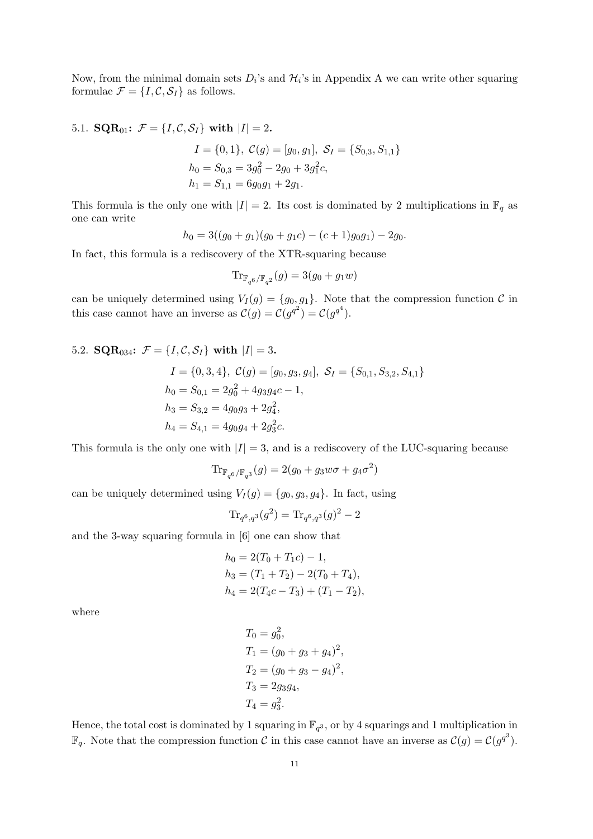Now, from the minimal domain sets  $D_i$ 's and  $\mathcal{H}_i$ 's in Appendix A we can write other squaring formulae  $\mathcal{F} = \{I, \mathcal{C}, \mathcal{S}_I\}$  as follows.

5.1. **SQR**<sub>01</sub>: 
$$
\mathcal{F} = \{I, C, S_I\}
$$
 with  $|I| = 2$ .  
\n
$$
I = \{0, 1\}, C(g) = [g_0, g_1], S_I = \{S_{0,3}, S_{1,1}\}
$$
\n
$$
h_0 = S_{0,3} = 3g_0^2 - 2g_0 + 3g_1^2c,
$$
\n
$$
h_1 = S_{1,1} = 6g_0g_1 + 2g_1.
$$

This formula is the only one with  $|I| = 2$ . Its cost is dominated by 2 multiplications in  $\mathbb{F}_q$  as one can write

$$
h_0 = 3((g_0 + g_1)(g_0 + g_1c) - (c+1)g_0g_1) - 2g_0.
$$

In fact, this formula is a rediscovery of the XTR-squaring because

$$
\mathrm{Tr}_{\mathbb{F}_{q^6}/\mathbb{F}_{q^2}}(g)=3(g_0+g_1w)
$$

can be uniquely determined using  $V_I(g) = \{g_0, g_1\}$ . Note that the compression function C in this case cannot have an inverse as  $\mathcal{C}(g) = \mathcal{C}(g^{q^2}) = \mathcal{C}(g^{q^4})$ .

5.2. **SQR**<sub>034</sub>: 
$$
\mathcal{F} = \{I, C, S_I\}
$$
 with  $|I| = 3$ .  
\n $I = \{0, 3, 4\}, C(g) = [g_0, g_3, g_4], S_I = \{S_{0,1}, S_{3,2}, S_{4,1}\}$   
\n $h_0 = S_{0,1} = 2g_0^2 + 4g_3g_4c - 1,$   
\n $h_3 = S_{3,2} = 4g_0g_3 + 2g_4^2,$   
\n $h_4 = S_{4,1} = 4g_0g_4 + 2g_3^2c.$ 

This formula is the only one with  $|I| = 3$ , and is a rediscovery of the LUC-squaring because

$$
\mathrm{Tr}_{\mathbb{F}_{q^6}/\mathbb{F}_{q^3}}(g)=2(g_0+g_3w\sigma+g_4\sigma^2)
$$

can be uniquely determined using  $V_I(g) = \{g_0, g_3, g_4\}$ . In fact, using

$$
\text{Tr}_{q^6,q^3}(g^2) = \text{Tr}_{q^6,q^3}(g)^2 - 2
$$

and the 3-way squaring formula in [6] one can show that

$$
h_0 = 2(T_0 + T_1c) - 1,
$$
  
\n
$$
h_3 = (T_1 + T_2) - 2(T_0 + T_4),
$$
  
\n
$$
h_4 = 2(T_4c - T_3) + (T_1 - T_2),
$$

where

$$
T_0 = g_0^2,
$$
  
\n
$$
T_1 = (g_0 + g_3 + g_4)^2,
$$
  
\n
$$
T_2 = (g_0 + g_3 - g_4)^2,
$$
  
\n
$$
T_3 = 2g_3g_4,
$$
  
\n
$$
T_4 = g_3^2.
$$

Hence, the total cost is dominated by 1 squaring in  $\mathbb{F}_{q^3}$ , or by 4 squarings and 1 multiplication in  $\mathbb{F}_q$ . Note that the compression function C in this case cannot have an inverse as  $\mathcal{C}(g) = \mathcal{C}(g^{q^3})$ .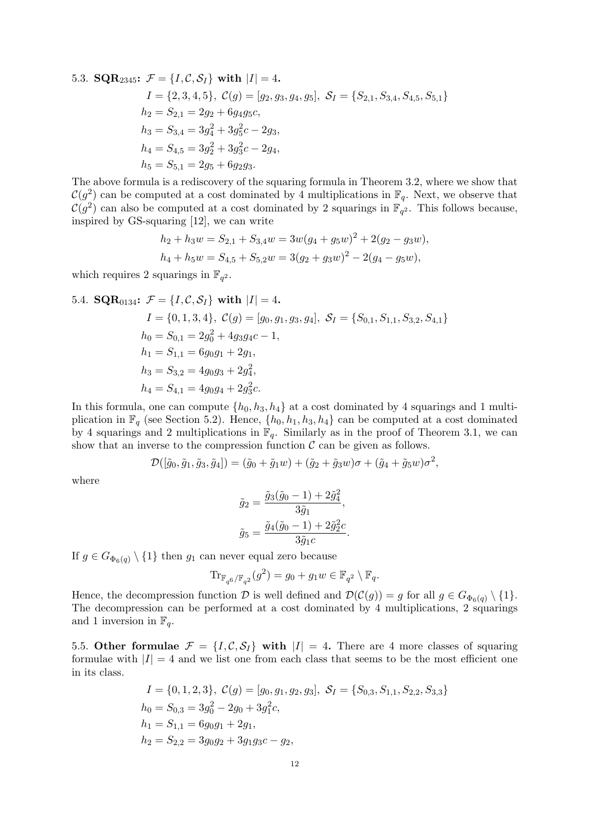5.3. **SQR**<sub>2345</sub>: 
$$
\mathcal{F} = \{I, C, S_I\}
$$
 with  $|I| = 4$ .  
\n $I = \{2, 3, 4, 5\}, C(g) = [g_2, g_3, g_4, g_5], S_I = \{S_{2,1}, S_{3,4}, S_{4,5}, S_{5,1}\}$   
\n $h_2 = S_{2,1} = 2g_2 + 6g_4g_5c$ ,  
\n $h_3 = S_{3,4} = 3g_4^2 + 3g_5^2c - 2g_3$ ,  
\n $h_4 = S_{4,5} = 3g_2^2 + 3g_3^2c - 2g_4$ ,  
\n $h_5 = S_{5,1} = 2g_5 + 6g_2g_3$ .

The above formula is a rediscovery of the squaring formula in Theorem 3.2, where we show that  $\mathcal{C}(g^2)$  can be computed at a cost dominated by 4 multiplications in  $\mathbb{F}_q$ . Next, we observe that  $\mathcal{C}(g^2)$  can also be computed at a cost dominated by 2 squarings in  $\mathbb{F}_{q^2}$ . This follows because, inspired by GS-squaring [12], we can write

$$
h_2 + h_3 w = S_{2,1} + S_{3,4} w = 3w(g_4 + g_5 w)^2 + 2(g_2 - g_3 w),
$$
  

$$
h_4 + h_5 w = S_{4,5} + S_{5,2} w = 3(g_2 + g_3 w)^2 - 2(g_4 - g_5 w),
$$

which requires 2 squarings in  $\mathbb{F}_{q^2}$ .

5.4. **SQR**<sub>0134</sub>: 
$$
\mathcal{F} = \{I, C, S_I\}
$$
 with  $|I| = 4$ .  
\n $I = \{0, 1, 3, 4\}, C(g) = [g_0, g_1, g_3, g_4], S_I = \{S_{0,1}, S_{1,1}, S_{3,2}, S_{4,1}\}$   
\n $h_0 = S_{0,1} = 2g_0^2 + 4g_3g_4c - 1$ ,  
\n $h_1 = S_{1,1} = 6g_0g_1 + 2g_1$ ,  
\n $h_3 = S_{3,2} = 4g_0g_3 + 2g_4^2$ ,  
\n $h_4 = S_{4,1} = 4g_0g_4 + 2g_3^2c$ .

In this formula, one can compute  $\{h_0, h_3, h_4\}$  at a cost dominated by 4 squarings and 1 multiplication in  $\mathbb{F}_q$  (see Section 5.2). Hence,  $\{h_0, h_1, h_3, h_4\}$  can be computed at a cost dominated by 4 squarings and 2 multiplications in  $\mathbb{F}_q$ . Similarly as in the proof of Theorem 3.1, we can show that an inverse to the compression function  $\mathcal C$  can be given as follows.

$$
\mathcal{D}([\tilde{g}_0,\tilde{g}_1,\tilde{g}_3,\tilde{g}_4])=(\tilde{g}_0+\tilde{g}_1w)+(\tilde{g}_2+\tilde{g}_3w)\sigma+(\tilde{g}_4+\tilde{g}_5w)\sigma^2,
$$

where

$$
\tilde{g}_2 = \frac{\tilde{g}_3(\tilde{g}_0 - 1) + 2\tilde{g}_4^2}{3\tilde{g}_1},
$$
  

$$
\tilde{g}_5 = \frac{\tilde{g}_4(\tilde{g}_0 - 1) + 2\tilde{g}_2^2 c}{3\tilde{g}_1 c}.
$$

If  $g \in G_{\Phi_6(q)} \setminus \{1\}$  then  $g_1$  can never equal zero because

$$
\mathrm{Tr}_{\mathbb{F}_{q^6}/\mathbb{F}_{q^2}}(g^2) = g_0 + g_1 w \in \mathbb{F}_{q^2} \setminus \mathbb{F}_q.
$$

Hence, the decompression function D is well defined and  $\mathcal{D}(\mathcal{C}(g)) = g$  for all  $g \in G_{\Phi_6(q)} \setminus \{1\}.$ The decompression can be performed at a cost dominated by 4 multiplications, 2 squarings and 1 inversion in  $\mathbb{F}_q$ .

5.5. Other formulae  $\mathcal{F} = \{I, \mathcal{C}, \mathcal{S}_I\}$  with  $|I| = 4$ . There are 4 more classes of squaring formulae with  $|I| = 4$  and we list one from each class that seems to be the most efficient one in its class.

$$
I = \{0, 1, 2, 3\}, C(g) = [g_0, g_1, g_2, g_3], S_I = \{S_{0,3}, S_{1,1}, S_{2,2}, S_{3,3}\}\
$$
  
\n
$$
h_0 = S_{0,3} = 3g_0^2 - 2g_0 + 3g_1^2c,
$$
  
\n
$$
h_1 = S_{1,1} = 6g_0g_1 + 2g_1,
$$
  
\n
$$
h_2 = S_{2,2} = 3g_0g_2 + 3g_1g_3c - g_2,
$$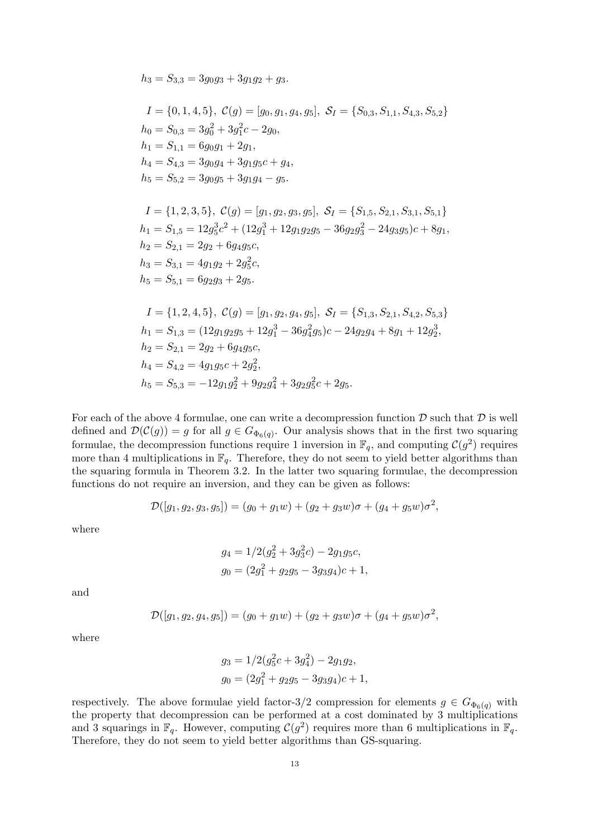$h_3 = S_{3,3} = 3g_0g_3 + 3g_1g_2 + g_3.$ 

$$
I = \{0, 1, 4, 5\}, C(g) = [g_0, g_1, g_4, g_5], S_I = \{S_{0,3}, S_{1,1}, S_{4,3}, S_{5,2}\}\
$$
  
\n
$$
h_0 = S_{0,3} = 3g_0^2 + 3g_1^2c - 2g_0,
$$
  
\n
$$
h_1 = S_{1,1} = 6g_0g_1 + 2g_1,
$$
  
\n
$$
h_4 = S_{4,3} = 3g_0g_4 + 3g_1g_5c + g_4,
$$
  
\n
$$
h_5 = S_{5,2} = 3g_0g_5 + 3g_1g_4 - g_5.
$$

$$
I = \{1, 2, 3, 5\}, C(g) = [g_1, g_2, g_3, g_5], S_I = \{S_{1,5}, S_{2,1}, S_{3,1}, S_{5,1}\}
$$
  
\n
$$
h_1 = S_{1,5} = 12g_5^3c^2 + (12g_1^3 + 12g_1g_2g_5 - 36g_2g_3^2 - 24g_3g_5)c + 8g_1,
$$
  
\n
$$
h_2 = S_{2,1} = 2g_2 + 6g_4g_5c,
$$
  
\n
$$
h_3 = S_{3,1} = 4g_1g_2 + 2g_5^2c,
$$
  
\n
$$
h_5 = S_{5,1} = 6g_2g_3 + 2g_5.
$$

$$
I = \{1, 2, 4, 5\}, C(g) = [g_1, g_2, g_4, g_5], S_I = \{S_{1,3}, S_{2,1}, S_{4,2}, S_{5,3}\}
$$
  
\n
$$
h_1 = S_{1,3} = (12g_1g_2g_5 + 12g_1^3 - 36g_4^2g_5)c - 24g_2g_4 + 8g_1 + 12g_2^3,
$$
  
\n
$$
h_2 = S_{2,1} = 2g_2 + 6g_4g_5c,
$$
  
\n
$$
h_4 = S_{4,2} = 4g_1g_5c + 2g_2^2,
$$
  
\n
$$
h_5 = S_{5,3} = -12g_1g_2^2 + 9g_2g_4^2 + 3g_2g_5^2c + 2g_5.
$$

For each of the above 4 formulae, one can write a decompression function  $\mathcal D$  such that  $\mathcal D$  is well defined and  $\mathcal{D}(\mathcal{C}(g)) = g$  for all  $g \in G_{\Phi_6(q)}$ . Our analysis shows that in the first two squaring formulae, the decompression functions require 1 inversion in  $\mathbb{F}_q$ , and computing  $\mathcal{C}(g^2)$  requires more than 4 multiplications in  $\mathbb{F}_q$ . Therefore, they do not seem to yield better algorithms than the squaring formula in Theorem 3.2. In the latter two squaring formulae, the decompression functions do not require an inversion, and they can be given as follows:

$$
\mathcal{D}([g_1, g_2, g_3, g_5]) = (g_0 + g_1w) + (g_2 + g_3w)\sigma + (g_4 + g_5w)\sigma^2,
$$

where

$$
g_4 = 1/2(g_2^2 + 3g_3^2c) - 2g_1g_5c,
$$
  

$$
g_0 = (2g_1^2 + g_2g_5 - 3g_3g_4)c + 1,
$$

and

$$
\mathcal{D}([g_1, g_2, g_4, g_5]) = (g_0 + g_1w) + (g_2 + g_3w)\sigma + (g_4 + g_5w)\sigma^2,
$$

where

$$
g_3 = 1/2(g_5^2c + 3g_4^2) - 2g_1g_2,
$$
  

$$
g_0 = (2g_1^2 + g_2g_5 - 3g_3g_4)c + 1,
$$

respectively. The above formulae yield factor-3/2 compression for elements  $g \in G_{\Phi_6(q)}$  with the property that decompression can be performed at a cost dominated by 3 multiplications and 3 squarings in  $\mathbb{F}_q$ . However, computing  $\mathcal{C}(g^2)$  requires more than 6 multiplications in  $\mathbb{F}_q$ . Therefore, they do not seem to yield better algorithms than GS-squaring.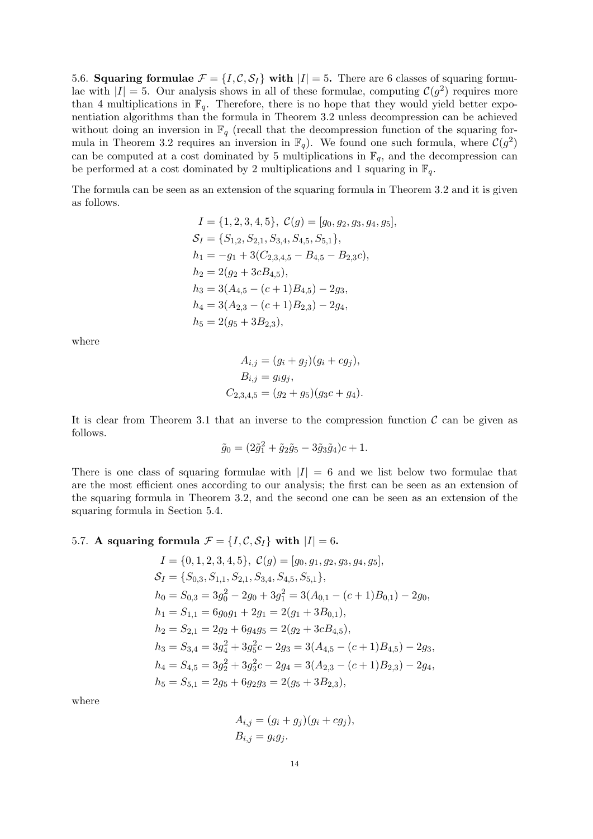5.6. Squaring formulae  $\mathcal{F} = \{I, \mathcal{C}, \mathcal{S}_I\}$  with  $|I| = 5$ . There are 6 classes of squaring formulae with  $|I| = 5$ . Our analysis shows in all of these formulae, computing  $\mathcal{C}(g^2)$  requires more than 4 multiplications in  $\mathbb{F}_q$ . Therefore, there is no hope that they would yield better exponentiation algorithms than the formula in Theorem 3.2 unless decompression can be achieved without doing an inversion in  $\mathbb{F}_q$  (recall that the decompression function of the squaring formula in Theorem 3.2 requires an inversion in  $\mathbb{F}_q$ . We found one such formula, where  $\mathcal{C}(g^2)$ can be computed at a cost dominated by 5 multiplications in  $\mathbb{F}_q$ , and the decompression can be performed at a cost dominated by 2 multiplications and 1 squaring in  $\mathbb{F}_q$ .

The formula can be seen as an extension of the squaring formula in Theorem 3.2 and it is given as follows.

$$
I = \{1, 2, 3, 4, 5\}, C(g) = [g_0, g_2, g_3, g_4, g_5],
$$
  
\n
$$
S_I = \{S_{1,2}, S_{2,1}, S_{3,4}, S_{4,5}, S_{5,1}\},
$$
  
\n
$$
h_1 = -g_1 + 3(C_{2,3,4,5} - B_{4,5} - B_{2,3}c),
$$
  
\n
$$
h_2 = 2(g_2 + 3cB_{4,5}),
$$
  
\n
$$
h_3 = 3(A_{4,5} - (c+1)B_{4,5}) - 2g_3,
$$
  
\n
$$
h_4 = 3(A_{2,3} - (c+1)B_{2,3}) - 2g_4,
$$
  
\n
$$
h_5 = 2(g_5 + 3B_{2,3}),
$$

where

$$
A_{i,j} = (g_i + g_j)(g_i + cg_j),
$$
  
\n
$$
B_{i,j} = g_i g_j,
$$
  
\n
$$
C_{2,3,4,5} = (g_2 + g_5)(g_3 c + g_4).
$$

It is clear from Theorem 3.1 that an inverse to the compression function  $\mathcal C$  can be given as follows.

$$
\tilde{g}_0 = (2\tilde{g}_1^2 + \tilde{g}_2\tilde{g}_5 - 3\tilde{g}_3\tilde{g}_4)c + 1.
$$

There is one class of squaring formulae with  $|I| = 6$  and we list below two formulae that are the most efficient ones according to our analysis; the first can be seen as an extension of the squaring formula in Theorem 3.2, and the second one can be seen as an extension of the squaring formula in Section 5.4.

## 5.7. A squaring formula  $\mathcal{F} = \{I, \mathcal{C}, \mathcal{S}_I\}$  with  $|I| = 6$ .

$$
I = \{0, 1, 2, 3, 4, 5\}, C(g) = [g_0, g_1, g_2, g_3, g_4, g_5],
$$
  
\n
$$
S_I = \{S_{0,3}, S_{1,1}, S_{2,1}, S_{3,4}, S_{4,5}, S_{5,1}\},
$$
  
\n
$$
h_0 = S_{0,3} = 3g_0^2 - 2g_0 + 3g_1^2 = 3(A_{0,1} - (c+1)B_{0,1}) - 2g_0,
$$
  
\n
$$
h_1 = S_{1,1} = 6g_0g_1 + 2g_1 = 2(g_1 + 3B_{0,1}),
$$
  
\n
$$
h_2 = S_{2,1} = 2g_2 + 6g_4g_5 = 2(g_2 + 3cB_{4,5}),
$$
  
\n
$$
h_3 = S_{3,4} = 3g_4^2 + 3g_5^2c - 2g_3 = 3(A_{4,5} - (c+1)B_{4,5}) - 2g_3,
$$
  
\n
$$
h_4 = S_{4,5} = 3g_2^2 + 3g_3^2c - 2g_4 = 3(A_{2,3} - (c+1)B_{2,3}) - 2g_4,
$$
  
\n
$$
h_5 = S_{5,1} = 2g_5 + 6g_2g_3 = 2(g_5 + 3B_{2,3}),
$$

where

$$
A_{i,j} = (g_i + g_j)(g_i + cg_j),
$$
  
\n
$$
B_{i,j} = g_i g_j.
$$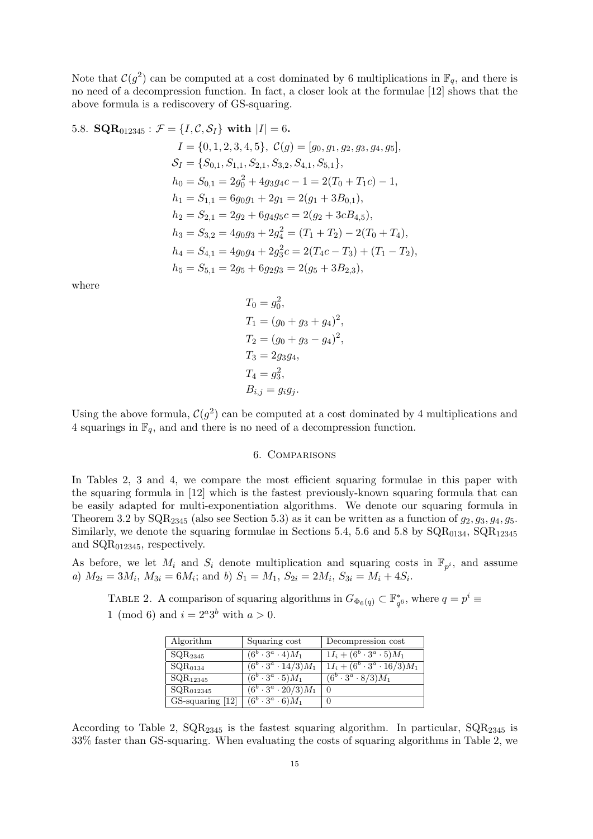Note that  $\mathcal{C}(g^2)$  can be computed at a cost dominated by 6 multiplications in  $\mathbb{F}_q$ , and there is no need of a decompression function. In fact, a closer look at the formulae [12] shows that the above formula is a rediscovery of GS-squaring.

5.8. **SQR**<sub>012345</sub>: 
$$
\mathcal{F} = \{I, C, S_I\}
$$
 with  $|I| = 6$ .  
\n $I = \{0, 1, 2, 3, 4, 5\}, C(g) = [g_0, g_1, g_2, g_3, g_4, g_5],$   
\n $S_I = \{S_{0,1}, S_{1,1}, S_{2,1}, S_{3,2}, S_{4,1}, S_{5,1}\},$   
\n $h_0 = S_{0,1} = 2g_0^2 + 4g_3g_4c - 1 = 2(T_0 + T_1c) - 1,$   
\n $h_1 = S_{1,1} = 6g_0g_1 + 2g_1 = 2(g_1 + 3B_{0,1}),$   
\n $h_2 = S_{2,1} = 2g_2 + 6g_4g_5c = 2(g_2 + 3cB_{4,5}),$   
\n $h_3 = S_{3,2} = 4g_0g_3 + 2g_4^2 = (T_1 + T_2) - 2(T_0 + T_4),$   
\n $h_4 = S_{4,1} = 4g_0g_4 + 2g_3^2c = 2(T_4c - T_3) + (T_1 - T_2),$   
\n $h_5 = S_{5,1} = 2g_5 + 6g_2g_3 = 2(g_5 + 3B_{2,3}),$ 

where

$$
T_0 = g_0^2,
$$
  
\n
$$
T_1 = (g_0 + g_3 + g_4)^2,
$$
  
\n
$$
T_2 = (g_0 + g_3 - g_4)^2,
$$
  
\n
$$
T_3 = 2g_3g_4,
$$
  
\n
$$
T_4 = g_3^2,
$$
  
\n
$$
B_{i,j} = g_i g_j.
$$

Using the above formula,  $C(g^2)$  can be computed at a cost dominated by 4 multiplications and 4 squarings in  $\mathbb{F}_q$ , and and there is no need of a decompression function.

### 6. Comparisons

In Tables 2, 3 and 4, we compare the most efficient squaring formulae in this paper with the squaring formula in [12] which is the fastest previously-known squaring formula that can be easily adapted for multi-exponentiation algorithms. We denote our squaring formula in Theorem 3.2 by  $\text{SQR}_{2345}$  (also see Section 5.3) as it can be written as a function of  $g_2, g_3, g_4, g_5$ . Similarly, we denote the squaring formulae in Sections 5.4, 5.6 and 5.8 by  $\text{SQR}_{0134}$ ,  $\text{SQR}_{12345}$ and SQR012345, respectively.

As before, we let  $M_i$  and  $S_i$  denote multiplication and squaring costs in  $\mathbb{F}_{p^i}$ , and assume a)  $M_{2i} = 3M_i$ ,  $M_{3i} = 6M_i$ ; and b)  $S_1 = M_1$ ,  $S_{2i} = 2M_i$ ,  $S_{3i} = M_i + 4S_i$ .

TABLE 2. A comparison of squaring algorithms in  $G_{\Phi_6(q)} \subset \mathbb{F}_{q^6}^*$ , where  $q = p^i \equiv$ 1 (mod 6) and  $i = 2^a 3^b$  with  $a > 0$ .

| Algorithm               | Squaring cost                            | Decompression cost                                |
|-------------------------|------------------------------------------|---------------------------------------------------|
| SQR <sub>2345</sub>     | $(6^b\cdot3^a\cdot4)M_1$                 | $1I_i + (6^b \cdot 3^a \cdot 5)M_1$               |
| $SQR_{0134}$            | $\overline{(6^b\cdot 3^a\cdot 14/3)M_1}$ | $\overline{1I_i + (6^b \cdot 3^a \cdot 16/3)M_1}$ |
| $\mathrm{SQR}_{12345}$  | $(6^b\cdot3^a\cdot5)M_1$                 | $\overline{(6^b\cdot 3^a\cdot 8/3)M_1}$           |
| $\mathrm{SQR}_{012345}$ | $(6^b \cdot 3^a \cdot 20/3)M_1$          | $\overline{0}$                                    |
| $GS$ -squaring $[12]$   | $(6^b\cdot3^a\cdot6)M_1$                 |                                                   |

According to Table 2,  $\text{SQR}_{2345}$  is the fastest squaring algorithm. In particular,  $\text{SQR}_{2345}$  is 33% faster than GS-squaring. When evaluating the costs of squaring algorithms in Table 2, we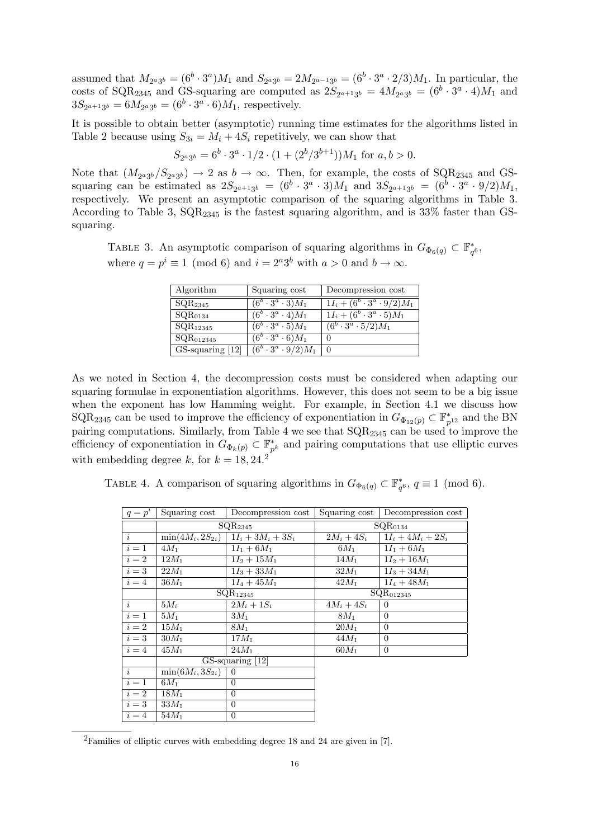assumed that  $M_{2^a3^b} = (6^b \cdot 3^a)M_1$  and  $S_{2^a3^b} = 2M_{2^{a-1}3^b} = (6^b \cdot 3^a \cdot 2/3)M_1$ . In particular, the costs of SQR<sub>2345</sub> and GS-squaring are computed as  $2S_{2^{a+1}3^b} = 4M_{2^a3^b} = (6^b \cdot 3^a \cdot 4)M_1$  and  $3S_{2^{a+1}3^{b}} = 6M_{2^{a}3^{b}} = (6^{b} \cdot 3^{a} \cdot 6)M_{1}$ , respectively.

It is possible to obtain better (asymptotic) running time estimates for the algorithms listed in Table 2 because using  $S_{3i} = M_i + 4S_i$  repetitively, we can show that

$$
S_{2^{a}3^{b}} = 6^{b} \cdot 3^{a} \cdot 1/2 \cdot (1 + (2^{b}/3^{b+1}))M_1 \text{ for } a, b > 0.
$$

Note that  $(M_{2^a3^b}/S_{2^a3^b}) \to 2$  as  $b \to \infty$ . Then, for example, the costs of SQR<sub>2345</sub> and GSsquaring can be estimated as  $2S_{2^{a+1}3^b} = (6^b \cdot 3^a \cdot 3)M_1$  and  $3S_{2^{a+1}3^b} = (6^b \cdot 3^a \cdot 9/2)M_1$ , respectively. We present an asymptotic comparison of the squaring algorithms in Table 3. According to Table 3,  $SQR_{2345}$  is the fastest squaring algorithm, and is 33% faster than GSsquaring.

TABLE 3. An asymptotic comparison of squaring algorithms in  $G_{\Phi_6(q)} \subset \mathbb{F}_{q^6}^*$ , where  $q = p^i \equiv 1 \pmod{6}$  and  $i = 2^a 3^b$  with  $a > 0$  and  $b \to \infty$ .

| Algorithm               | Squaring cost                           | Decompression cost                    |
|-------------------------|-----------------------------------------|---------------------------------------|
| $\mathrm{SQR}_{2345}$   | $(6^b\cdot3^a\cdot3)M_1$                | $1I_i + (6^b \cdot 3^a \cdot 9/2)M_1$ |
| $\mathrm{SQR}_{0134}$   | $(6^b\cdot 3^a\cdot 4)M_1$              | $1I_i + (6^b \cdot 3^a \cdot 5)M_1$   |
| $SQR_{12345}$           | $(6^b \cdot 3^a \cdot 5)M_1$            | $(6^b \cdot 3^a \cdot 5/2)M_1$        |
| $\mathrm{SQR}_{012345}$ | $\overline{(6^b\cdot 3^a}\cdot 6)M_1$   | 0                                     |
| GS-squaring [12]        | $\overline{(6^b\cdot 3^a\cdot 9/2)}M_1$ | $\overline{0}$                        |

As we noted in Section 4, the decompression costs must be considered when adapting our squaring formulae in exponentiation algorithms. However, this does not seem to be a big issue when the exponent has low Hamming weight. For example, in Section 4.1 we discuss how  $\text{SQR}_{2345}$  can be used to improve the efficiency of exponentiation in  $G_{\Phi_{12}(p)} \subset \mathbb{F}_{p^{12}}^*$  and the BN pairing computations. Similarly, from Table 4 we see that  $\text{SQR}_{2345}$  can be used to improve the efficiency of exponentiation in  $G_{\Phi_k(p)} \subset \mathbb{F}_p^*$  $_{p^k}^*$  and pairing computations that use elliptic curves with embedding degree k, for  $k = 18, 24.2$ 

TABLE 4. A comparison of squaring algorithms in  $G_{\Phi_6(q)} \subset \mathbb{F}_{q^6}^*$ ,  $q \equiv 1 \pmod{6}$ .

| $q=p^i$   | Squaring cost                    | Decompression cost   | Squaring cost                    | Decompression cost   |  |
|-----------|----------------------------------|----------------------|----------------------------------|----------------------|--|
|           | SQR <sub>2345</sub>              |                      | $SQR_{0134}$                     |                      |  |
| $\dot{i}$ | $\overline{\min(4M_i, 2S_{2i})}$ | $1I_i + 3M_i + 3S_i$ | $2M_i+4S_i$                      | $1I_i + 4M_i + 2S_i$ |  |
| $i=1$     | $4M_1$                           | $1I_1 + 6M_1$        | $6M_1$                           | $1I_1 + 6M_1$        |  |
| $i=2$     | $12M_1$                          | $1I_2 + 15M_1$       | $14M_1$                          | $1I_2 + 16M_1$       |  |
| $i=3$     | $22M_1$                          | $1I_3 + 33M_1$       | $32M_1$                          | $1I_3 + 34M_1$       |  |
| $i=4$     | $36M_{\rm 1}$                    | $1I_4 + 45M_1$       | $42M_1$                          | $1I_4 + 48M_1$       |  |
|           | $\overline{\text{SQR}}_{12345}$  |                      | $\overline{\text{SQR}}_{012345}$ |                      |  |
| $\dot{i}$ | $5M_i$                           | $2M_i+1S_i$          | $4M_i+4S_i$                      | 0                    |  |
| $i=1$     | $5M_1$                           | $3M_1$               | $8M_1$                           | $\Omega$             |  |
| $i=2$     | $15M_1$                          | $8M_1$               | $20M_1$                          | $\Omega$             |  |
| $i=3$     | $30M_1$                          | $17M_1$              | $44M_1$                          | $\theta$             |  |
| $i=4$     | $45M_1$                          | $24M_1$              | $60M_1$                          | $\overline{0}$       |  |
|           | $GS$ -squaring $[12]$            |                      |                                  |                      |  |
| $\dot{i}$ | $\min(6M_i, 3S_{2i})$            | $\overline{0}$       |                                  |                      |  |
| $i=1$     | $6M_{1}$                         | $\theta$             |                                  |                      |  |
| $i=2$     | $18M_1$                          | $\overline{0}$       |                                  |                      |  |
| $i=3$     | $33M_1$                          | $\overline{0}$       |                                  |                      |  |
| $i=4$     | $54M_1$                          | $\boldsymbol{0}$     |                                  |                      |  |

<sup>2</sup>Families of elliptic curves with embedding degree 18 and 24 are given in [7].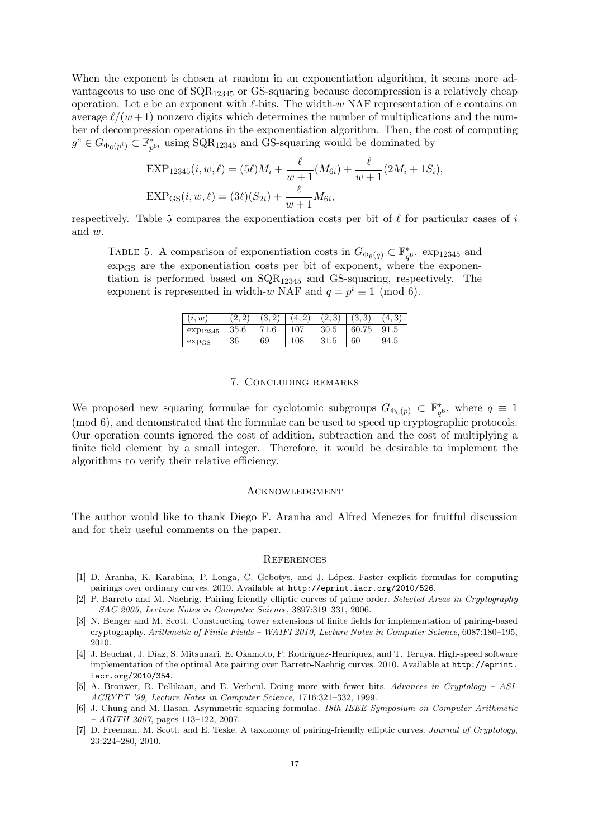When the exponent is chosen at random in an exponentiation algorithm, it seems more advantageous to use one of  $\text{SQR}_{12345}$  or GS-squaring because decompression is a relatively cheap operation. Let e be an exponent with  $\ell$ -bits. The width-w NAF representation of e contains on average  $\ell/(w + 1)$  nonzero digits which determines the number of multiplications and the number of decompression operations in the exponentiation algorithm. Then, the cost of computing  $g^e\in G_{\Phi_6(p^i)}\stackrel{\scriptscriptstyle \cdot}{\subset} \mathbb{F}_p^*$  $_{p^{6i}}^*$  using SQR<sub>12345</sub> and GS-squaring would be dominated by

$$
\text{EXP}_{12345}(i, w, \ell) = (5\ell)M_i + \frac{\ell}{w+1}(M_{6i}) + \frac{\ell}{w+1}(2M_i + 1S_i),
$$
  
\n
$$
\text{EXP}_{\text{GS}}(i, w, \ell) = (3\ell)(S_{2i}) + \frac{\ell}{w+1}M_{6i},
$$

respectively. Table 5 compares the exponentiation costs per bit of  $\ell$  for particular cases of i and w.

TABLE 5. A comparison of exponentiation costs in  $G_{\Phi_6(q)} \subset \mathbb{F}_{q^6}^*$ . exp<sub>12345</sub> and expGS are the exponentiation costs per bit of exponent, where the exponentiation is performed based on  $\text{SOR}_{12345}$  and GS-squaring, respectively. The exponent is represented in width-w NAF and  $q = p^i \equiv 1 \pmod{6}$ .

| (i, w)               |      | (3, 2 | 4,  | (2,3) | (3,3) | 4.3  |
|----------------------|------|-------|-----|-------|-------|------|
| exp <sub>12345</sub> | 35.6 | 71.6  | 107 | 30.5  | 60.75 | 91.5 |
| $exp_{GS}$           | 36   | 69    | 108 |       | 60    | 94.5 |

#### 7. Concluding remarks

We proposed new squaring formulae for cyclotomic subgroups  $G_{\Phi_6(p)} \subset \mathbb{F}_{q^6}^*$ , where  $q \equiv 1$ (mod 6), and demonstrated that the formulae can be used to speed up cryptographic protocols. Our operation counts ignored the cost of addition, subtraction and the cost of multiplying a finite field element by a small integer. Therefore, it would be desirable to implement the algorithms to verify their relative efficiency.

#### **ACKNOWLEDGMENT**

The author would like to thank Diego F. Aranha and Alfred Menezes for fruitful discussion and for their useful comments on the paper.

#### **REFERENCES**

- [1] D. Aranha, K. Karabina, P. Longa, C. Gebotys, and J. L´opez. Faster explicit formulas for computing pairings over ordinary curves. 2010. Available at http://eprint.iacr.org/2010/526.
- [2] P. Barreto and M. Naehrig. Pairing-friendly elliptic curves of prime order. Selected Areas in Cryptography – SAC 2005, Lecture Notes in Computer Science, 3897:319–331, 2006.
- [3] N. Benger and M. Scott. Constructing tower extensions of finite fields for implementation of pairing-based cryptography. Arithmetic of Finite Fields – WAIFI 2010, Lecture Notes in Computer Science, 6087:180–195, 2010.
- [4] J. Beuchat, J. Díaz, S. Mitsunari, E. Okamoto, F. Rodríguez-Henríquez, and T. Teruya. High-speed software implementation of the optimal Ate pairing over Barreto-Naehrig curves. 2010. Available at http://eprint. iacr.org/2010/354.
- [5] A. Brouwer, R. Pellikaan, and E. Verheul. Doing more with fewer bits. Advances in Cryptology ASI-ACRYPT '99, Lecture Notes in Computer Science, 1716:321–332, 1999.
- [6] J. Chung and M. Hasan. Asymmetric squaring formulae. 18th IEEE Symposium on Computer Arithmetic  $- A RITH 2007$ , pages 113–122, 2007.
- [7] D. Freeman, M. Scott, and E. Teske. A taxonomy of pairing-friendly elliptic curves. *Journal of Cruptology*, 23:224–280, 2010.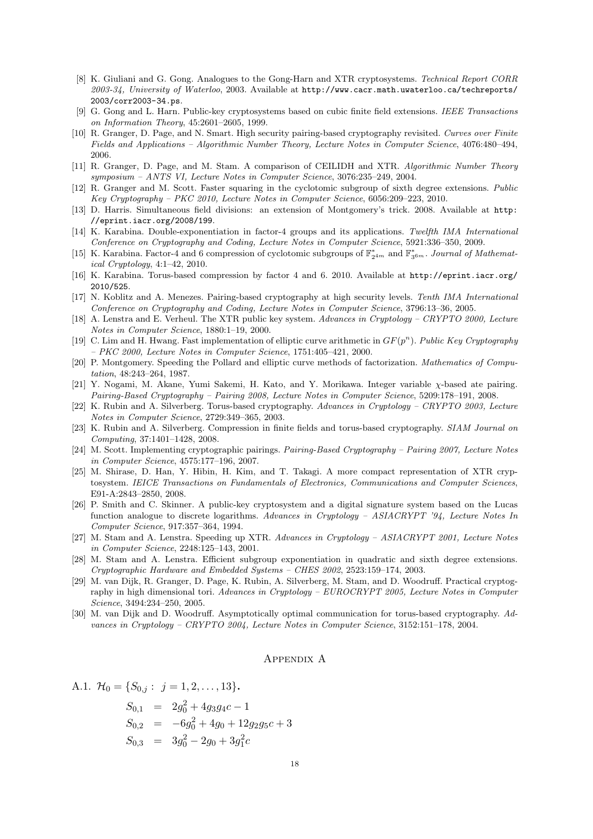- [8] K. Giuliani and G. Gong. Analogues to the Gong-Harn and XTR cryptosystems. Technical Report CORR 2003-34, University of Waterloo, 2003. Available at http://www.cacr.math.uwaterloo.ca/techreports/ 2003/corr2003-34.ps.
- [9] G. Gong and L. Harn. Public-key cryptosystems based on cubic finite field extensions. IEEE Transactions on Information Theory, 45:2601–2605, 1999.
- [10] R. Granger, D. Page, and N. Smart. High security pairing-based cryptography revisited. Curves over Finite Fields and Applications – Algorithmic Number Theory, Lecture Notes in Computer Science, 4076:480–494, 2006.
- [11] R. Granger, D. Page, and M. Stam. A comparison of CEILIDH and XTR. Algorithmic Number Theory symposium – ANTS VI, Lecture Notes in Computer Science, 3076:235–249, 2004.
- [12] R. Granger and M. Scott. Faster squaring in the cyclotomic subgroup of sixth degree extensions. Public Key Cryptography – PKC 2010, Lecture Notes in Computer Science, 6056:209–223, 2010.
- [13] D. Harris. Simultaneous field divisions: an extension of Montgomery's trick. 2008. Available at http: //eprint.iacr.org/2008/199.
- [14] K. Karabina. Double-exponentiation in factor-4 groups and its applications. Twelfth IMA International Conference on Cryptography and Coding, Lecture Notes in Computer Science, 5921:336–350, 2009.
- [15] K. Karabina. Factor-4 and 6 compression of cyclotomic subgroups of  $\mathbb{F}_{2^{4m}}^*$  and  $\mathbb{F}_{3^{6m}}^*$ . Journal of Mathematical Cryptology, 4:1–42, 2010.
- [16] K. Karabina. Torus-based compression by factor 4 and 6. 2010. Available at http://eprint.iacr.org/ 2010/525.
- [17] N. Koblitz and A. Menezes. Pairing-based cryptography at high security levels. Tenth IMA International Conference on Cryptography and Coding, Lecture Notes in Computer Science, 3796:13–36, 2005.
- [18] A. Lenstra and E. Verheul. The XTR public key system. Advances in Cryptology CRYPTO 2000, Lecture Notes in Computer Science, 1880:1–19, 2000.
- [19] C. Lim and H. Hwang. Fast implementation of elliptic curve arithmetic in  $GF(p^n)$ . Public Key Cryptography – PKC 2000, Lecture Notes in Computer Science, 1751:405–421, 2000.
- [20] P. Montgomery. Speeding the Pollard and elliptic curve methods of factorization. Mathematics of Computation, 48:243–264, 1987.
- [21] Y. Nogami, M. Akane, Yumi Sakemi, H. Kato, and Y. Morikawa. Integer variable χ-based ate pairing. Pairing-Based Cryptography – Pairing 2008, Lecture Notes in Computer Science, 5209:178–191, 2008.
- [22] K. Rubin and A. Silverberg. Torus-based cryptography. Advances in Cryptology CRYPTO 2003, Lecture Notes in Computer Science, 2729:349–365, 2003.
- [23] K. Rubin and A. Silverberg. Compression in finite fields and torus-based cryptography. SIAM Journal on Computing, 37:1401–1428, 2008.
- [24] M. Scott. Implementing cryptographic pairings. Pairing-Based Cryptography Pairing 2007, Lecture Notes in Computer Science, 4575:177–196, 2007.
- [25] M. Shirase, D. Han, Y. Hibin, H. Kim, and T. Takagi. A more compact representation of XTR cryptosystem. IEICE Transactions on Fundamentals of Electronics, Communications and Computer Sciences, E91-A:2843–2850, 2008.
- [26] P. Smith and C. Skinner. A public-key cryptosystem and a digital signature system based on the Lucas function analogue to discrete logarithms. Advances in Cryptology – ASIACRYPT '94, Lecture Notes In Computer Science, 917:357–364, 1994.
- [27] M. Stam and A. Lenstra. Speeding up XTR. Advances in Cryptology ASIACRYPT 2001, Lecture Notes in Computer Science, 2248:125–143, 2001.
- [28] M. Stam and A. Lenstra. Efficient subgroup exponentiation in quadratic and sixth degree extensions. Cryptographic Hardware and Embedded Systems – CHES 2002, 2523:159–174, 2003.
- [29] M. van Dijk, R. Granger, D. Page, K. Rubin, A. Silverberg, M. Stam, and D. Woodruff. Practical cryptography in high dimensional tori. Advances in Cryptology – EUROCRYPT 2005, Lecture Notes in Computer Science, 3494:234–250, 2005.
- [30] M. van Dijk and D. Woodruff. Asymptotically optimal communication for torus-based cryptography. Advances in Cryptology – CRYPTO 2004, Lecture Notes in Computer Science, 3152:151–178, 2004.

#### Appendix A

A.1. 
$$
\mathcal{H}_0 = \{S_{0,j} : j = 1, 2, ..., 13\}.
$$

$$
S_{0,1} = 2g_0^2 + 4g_3g_4c - 1
$$
  
\n
$$
S_{0,2} = -6g_0^2 + 4g_0 + 12g_2g_5c + 3
$$
  
\n
$$
S_{0,3} = 3g_0^2 - 2g_0 + 3g_1^2c
$$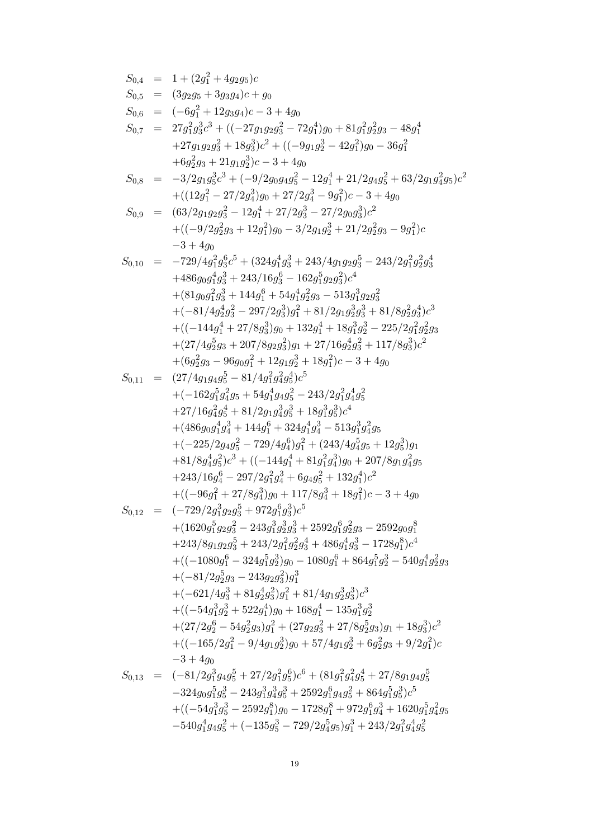$$
\begin{array}{ll} S_{0,4} &=& 1 + (2g_1^2 + 4g_2g_5)c \\ S_{0,5} &=& (3g_2g_5 + 3g_3g_4)c + g_0 \\ S_{0,6} &=& (-6g_1^2 + 12g_3g_4)c - 3 + 4g_0 \\ S_{0,7} &=& 27g_{1}^2g_3^2c^3 + ((-27g_1g_2g_3^2 - 72g_1^4)g_0 + 81g_{1}^2g_2^2g_3 - 48g_1^4 \\ &+27g_1g_2g_3^2 + 18g_3^3)c^2 + ((-9g_1g_2^3 - 42g_1^2)g_0 - 36g_1^2 \\ &+6g_2^2g_3 + 21g_1g_2^3)c - 3 + 4g_0 \\ S_{0,8} &=& -3/2g_1g_5^2c^3 + (-9/2g_0g_4g_5^2 - 12g_1^4 + 21/2g_4g_5^2 + 63/2g_1g_4^2g_5)c^2 \\ &+ ((2g_1^2 - 27/2g_4^3)g_0 + 27/2g_4^3 - 9g_1^2)c - 3 + 4g_0 \\ S_{0,9} &=& (63/2g_1g_2g_3^2 - 12g_1^4 + 27/2g_3^3 - 27/2g_0g_3^3)c^2 \\ &+ ((-9/2g_2^2g_3 + 12g_1^2)g_0 - 3/2g_1g_2^3 + 21/2g_2^2g_3 - 9g_1^2)c \\ &-3 + 4g_0 \\ S_{0,10} &=& -729/4g_1^2g_5^6c^5 + (324g_1^4g_3^3 + 243/4g_1g_2g_3^5 - 243/2g_1^2g_2^2g_3^4) \\ &+ (81g_0g_1^2g_3^3 + 144g_1^6 + 54g_1^4g_2^2g_3 - 513g_1^3g_2g_3^2 \\ &+ (-(81/4g_2^4g_3 - 297/2g_3^3)g_1 + 122g_1g_2^3g_3^2 + 81/8
$$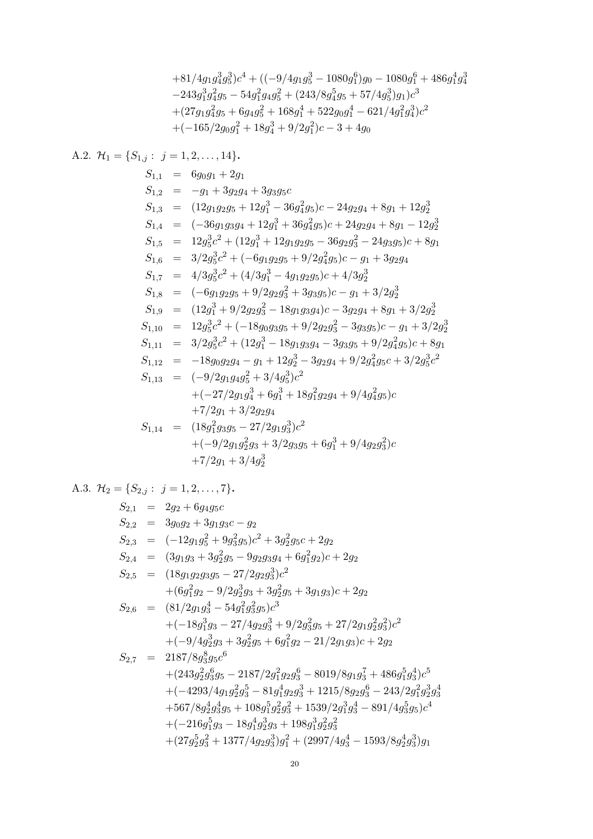$$
+81/4g_1g_4^3g_5^3)c^4 + ((-9/4g_1g_5^3 - 1080g_1^6)g_0 - 1080g_1^6 + 486g_1^4g_4^3 - 243g_1^3g_4^2g_5 - 54g_1^2g_4g_5^2 + (243/8g_4^5g_5 + 57/4g_5^3)g_1)c^3 + (27g_1g_4^2g_5 + 6g_4g_5^2 + 168g_1^4 + 522g_0g_1^4 - 621/4g_1^2g_4^3)c^2 + (-165/2g_0g_1^2 + 18g_4^3 + 9/2g_1^2)c - 3 + 4g_0
$$

A.2. 
$$
\mathcal{H}_1 = \{S_{1,j} : j = 1, 2, ..., 14\}.
$$
  
\n $S_{1,1} = 6g_0g_1 + 2g_1$   
\n $S_{1,2} = -g_1 + 3g_2g_4 + 3g_3g_5c$   
\n $S_{1,3} = (12g_1g_2g_5 + 12g_1^3 - 36g_4^2g_5)c - 24g_2g_4 + 8g_1 + 12g_2^3$   
\n $S_{1,4} = (-36g_1g_3g_4 + 12g_1^3 + 36g_4^2g_5)c + 24g_2g_4 + 8g_1 - 12g_2^3$   
\n $S_{1,5} = 12g_5^3c^2 + (12g_1^3 + 12g_1g_2g_5 - 36g_2g_3^2 - 24g_3g_5)c + 8g_1$   
\n $S_{1,6} = 3/2g_5^3c^2 + (-6g_1g_2g_5 + 9/2g_4^2g_5)c - g_1 + 3g_2g_4$   
\n $S_{1,7} = 4/3g_5^3c^2 + (4/3g_1^3 - 4g_1g_2g_5)c + 4/3g_2^3$   
\n $S_{1,8} = (-6g_1g_2g_5 + 9/2g_2g_3^2 + 3g_3g_5)c - g_1 + 3/2g_2^3$   
\n $S_{1,9} = (12g_1^3 + 9/2g_2g_3^2 - 18g_1g_3g_4)c - 3g_2g_4 + 8g_1 + 3/2g_2^3$   
\n $S_{1,10} = 12g_5^3c^2 + (-18g_0g_3g_5 + 9/2g_2g_3^2 - 3g_3g_5)c - g_1 + 3/2g_2^3$   
\n $S_{1,11} = 3/2g_5^3c^2 + (12g_1^3 - 18g_1g_3g_4 - 3g_3g_5 + 9/2g_4^2g_5)c + 8g_1$   
\n $S_{1,12} = -$ 

A.3. 
$$
\mathcal{H}_2 = \{S_{2,j} : j = 1, 2, ..., 7\}
$$
.  
\n $S_{2,1} = 2g_2 + 6g_4g_5c$   
\n $S_{2,2} = 3g_0g_2 + 3g_1g_3c - g_2$   
\n $S_{2,3} = (-12g_1g_5^2 + 9g_3^2g_5)c^2 + 3g_2^2g_5c + 2g_2$   
\n $S_{2,4} = (3g_1g_3 + 3g_2^2g_5 - 9g_2g_3g_4 + 6g_1^2g_2)c + 2g_2$   
\n $S_{2,5} = (18g_1g_2g_3g_5 - 27/2g_2g_3^3)c^2$   
\n $+ (6g_1^2g_2 - 9/2g_2^3g_3 + 3g_2^2g_5 + 3g_1g_3)c + 2g_2$   
\n $S_{2,6} = (81/2g_1g_3^4 - 54g_1^2g_3^2g_5)c^3$   
\n $+ (-18g_1^3g_3 - 27/4g_2g_3^3 + 9/2g_3^2g_5 + 27/2g_1g_2^2g_3^2)c^2$   
\n $+ (-9/4g_2^3g_3 + 3g_2^2g_5 + 6g_1^2g_2 - 21/2g_1g_3)c + 2g_2$   
\n $S_{2,7} = 2187/8g_3^8g_5c^6$   
\n $+ (243g_2^2g_3^6g_5 - 2187/2g_1^2g_2g_3^6 - 8019/8g_1g_3^7 + 486g_1^5g_3^4)c^5$   
\n $+ (-4293/4g_1g_2^2g_3^5 - 81g_1^4g_2g_3^3 + 1215/8g_2g_3^6 - 243/2g_1^2g_2^3g_3^4$   
\n $+ 567/8g_2^4g_3^4g_5 + 108g_1^5g_2^2g_3^2 + 1539/2g_$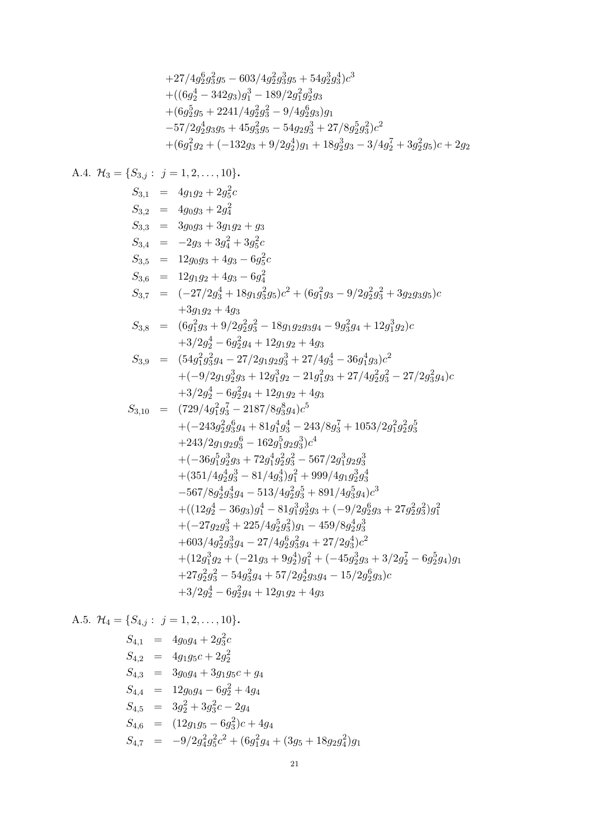$$
+27/4g_2^6g_3^2g_5 - 603/4g_2^2g_3^3g_5 + 54g_2^3g_3^4)c^3
$$
  
+
$$
((6g_2^4 - 342g_3)g_1^3 - 189/2g_1^2g_2^3g_3)
$$
  
+
$$
(6g_2^5g_5 + 2241/4g_2^2g_3^2 - 9/4g_2^6g_3)g_1
$$
  
-57/2g\_2^4g\_3g\_5 + 45g\_3^2g\_5 - 54g\_2g\_3^3 + 27/8g\_2^5g\_3^2)c^2  
+
$$
(6g_1^2g_2 + (-132g_3 + 9/2g_2^4)g_1 + 18g_2^3g_3 - 3/4g_2^7 + 3g_2^2g_5)c + 2g_2
$$

A.4. 
$$
\mathcal{H}_3 = \{S_{3,1} : j = 1, 2, ..., 10\}
$$
.  
\n $S_{3,1} = 4g_1g_2 + 2g_5^2c$   
\n $S_{3,2} = 4g_0g_3 + 2g_4^2$   
\n $S_{3,3} = 3g_0g_3 + 3g_1g_2 + g_3$   
\n $S_{3,4} = -2g_3 + 3g_4^2 + 3g_5^2c$   
\n $S_{3,5} = 12g_0g_3 + 4g_3 - 6g_5^2c$   
\n $S_{3,6} = 12g_1g_2 + 4g_3 - 6g_4^2$   
\n $S_{3,7} = (-27/2g_3^4 + 18g_1g_3^2g_5)c^2 + (6g_1^2g_3 - 9/2g_2^2g_3^2 + 3g_2g_3g_5)c$   
\n $+3g_1g_2 + 4g_3$   
\n $S_{3,8} = (6g_1^2g_3 + 9/2g_2^2g_3^2 - 18g_1g_2g_3g_4 - 9g_3^2g_4 + 12g_1^3g_2)c$   
\n $+3/2g_2^4 - 6g_2^2g_4 + 12g_1g_2 + 4g_3$   
\n $S_{3,9} = (54g_1^2g_3^2g_3 - 27/2g_1g_2g_3^3 + 27/4g_3^4 - 36g_1^4g_3)c^2$   
\n $+(-9/2g_1g_2^3g_3 + 12g_1^3g_2 - 21g_1^2g_3 + 27/4g_2^2g_3^2 - 27/2g_3^2g_4)c$   
\n $+3/2g_2^4 - 6g_2^2g_4 + 12g_1g_2 + 4g_3$   
\n $S_{3,10} = (729/4g_1^2g_3^7 - 2187/8g_3^8g_4)c^5$   
\n $+(-243g_2^2g_3^6g_4 + 81g_1^4g_3^$ 

A.5. 
$$
\mathcal{H}_4 = \{S_{4,j} : j = 1, 2, ..., 10\}.
$$
  
\n $S_{4,1} = 4g_0g_4 + 2g_3^2c$   
\n $S_{4,2} = 4g_1g_5c + 2g_2^2$   
\n $S_{4,3} = 3g_0g_4 + 3g_1g_5c + g_4$   
\n $S_{4,4} = 12g_0g_4 - 6g_2^2 + 4g_4$   
\n $S_{4,5} = 3g_2^2 + 3g_3^2c - 2g_4$   
\n $S_{4,6} = (12g_1g_5 - 6g_3^2)c + 4g_4$   
\n $S_{4,7} = -9/2g_4^2g_5^2c^2 + (6g_1^2g_4 + (3g_5 + 18g_2g_4^2)g_1$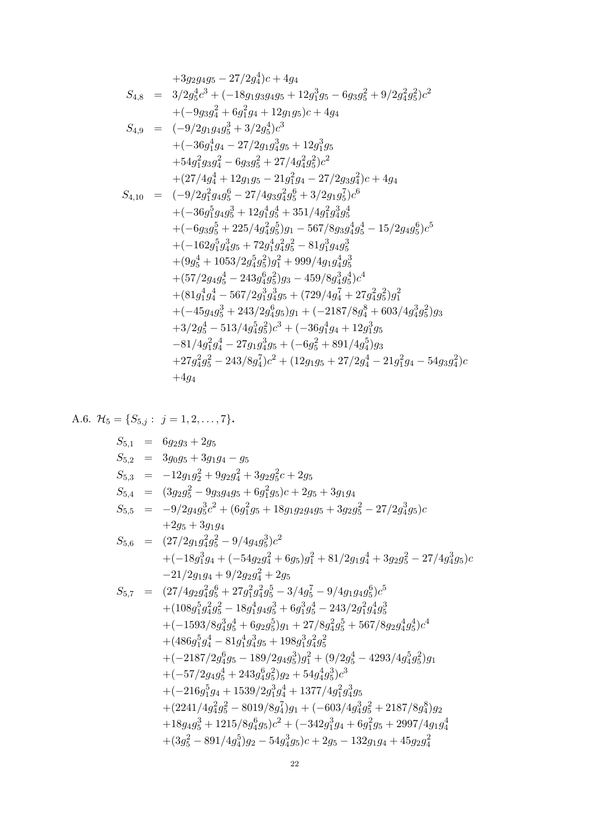$$
+3g_{2}g_{4}g_{5}-27/2g_{4}^{4})c+4g_{4}
$$
\n
$$
S_{4,8} = 3/2g_{5}^{4}c^{3} + (-18g_{1}g_{3}g_{4}g_{5} + 12g_{1}^{3}g_{5} - 6g_{3}g_{5}^{2} + 9/2g_{4}^{2}g_{5}^{2})c^{2}
$$
\n
$$
+(-9g_{3}g_{4}^{2} + 6g_{1}^{2}g_{4} + 12g_{1}g_{5})c + 4g_{4}
$$
\n
$$
S_{4,9} = (-9/2g_{1}g_{4}g_{5}^{3} + 3/2g_{5}^{4})c^{3}
$$
\n
$$
+(-36g_{1}^{4}g_{4} - 27/2g_{1}g_{4}^{3}g_{5} + 12g_{1}^{3}g_{5}
$$
\n
$$
+54g_{1}^{2}g_{3}g_{4}^{2} - 6g_{3}g_{5}^{2} + 27/4g_{4}^{2}g_{5}^{2})c^{2}
$$
\n
$$
+ (27/4g_{4}^{4} + 12g_{1}g_{5} - 21g_{1}^{2}g_{4} - 27/2g_{3}g_{4}^{2})c + 4g_{4}
$$
\n
$$
S_{4,10} = (-9/2g_{1}^{2}g_{4}g_{5}^{6} - 27/4g_{3}g_{4}^{2}g_{5}^{6} + 3/2g_{1}g_{5}^{7})c^{6}
$$
\n
$$
+(-36g_{1}^{5}g_{4}g_{5}^{3} + 12g_{1}^{4}g_{5}^{4} + 351/4g_{1}^{2}g_{4}^{3}g_{5}^{4}
$$
\n
$$
+(-6g_{3}g_{5}^{5} + 225/4g_{4}^{2}g_{5}^{5})g_{1} - 567/8g_{3}g_{4}^{4}g_{5}^{4} - 15/2g_{4}g_{5}^{6})c^{5}
$$
\n
$$
+(-162g_{1}^{5}g_{4}^{3}g_{5} + 72g_{1}^{4}g_{4}^{2}g_{5}^{2} - 8
$$

A.6. 
$$
\mathcal{H}_5 = \{S_{5,j} : j = 1, 2, ..., 7\}
$$
.  
\n $S_{5,1} = 6g_2g_3 + 2g_5$   
\n $S_{5,2} = 3g_0g_5 + 3g_1g_4 - g_5$   
\n $S_{5,3} = -12g_1g_2^2 + 9g_2g_4^2 + 3g_2g_5^2c + 2g_5$   
\n $S_{5,4} = (3g_2g_5^2 - 9g_3g_4g_5 + 6g_1^2g_5)c + 2g_5 + 3g_1g_4$   
\n $S_{5,5} = -9/2g_4g_5^3c^2 + (6g_1^2g_5 + 18g_1g_2g_4g_5 + 3g_2g_5^2 - 27/2g_4^3g_5)c$   
\n $+2g_5 + 3g_1g_4$   
\n $S_{5,6} = (27/2g_1g_4^2g_5^2 - 9/4g_4g_5^3)c^2$   
\n $+(-18g_1^3g_4 + (-54g_2g_4^2 + 6g_5)g_1^2 + 81/2g_1g_4^4 + 3g_2g_5^2 - 27/4g_4^3g_5)c$   
\n $-21/2g_1g_4 + 9/2g_2g_4^2 + 2g_5$   
\n $S_{5,7} = (27/4g_2g_4^2g_5^6 + 27g_1^2g_4^2g_5^5 - 3/4g_5^7 - 9/4g_1g_4g_5^6)c^5$   
\n $+ (108g_1^5g_4^2g_5^2 - 18g_1^4g_4g_3^2 + 6g_3^2g_3^4g_5^4 - 243/2g_1^2g_4^4g_5^3$   
\n $+(-1593/8g_4^3g_5^4 + 6g_2g_5^5)g_1 + 27/8g_4^2g_5^5 + 567/8g_2g_4^4g_5^4)c^4$   
\n $+ (486g_1^5g_4^4 -$